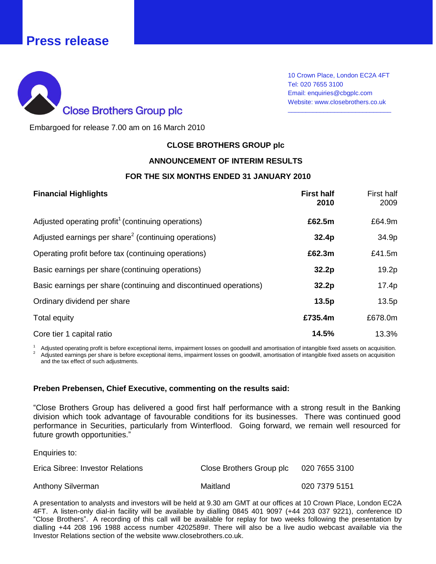# **Press release**



10 Crown Place, London EC2A 4FT Tel: 020 7655 3100 Email: enquiries@cbgplc.com Website: www.closebrothers.co.uk

\_\_\_\_\_\_\_\_\_\_\_\_\_\_\_\_\_\_\_\_\_\_\_\_\_\_\_\_\_

Embargoed for release 7.00 am on 16 March 2010

### **CLOSE BROTHERS GROUP plc**

### **ANNOUNCEMENT OF INTERIM RESULTS**

#### **FOR THE SIX MONTHS ENDED 31 JANUARY 2010**

| <b>Financial Highlights</b>                                       | <b>First half</b><br>2010 | First half<br>2009 |
|-------------------------------------------------------------------|---------------------------|--------------------|
| Adjusted operating profit <sup>1</sup> (continuing operations)    | £62.5m                    | £64.9m             |
| Adjusted earnings per share <sup>2</sup> (continuing operations)  | 32.4p                     | 34.9p              |
| Operating profit before tax (continuing operations)               | £62.3m                    | £41.5m             |
| Basic earnings per share (continuing operations)                  | 32.2p                     | 19.2p              |
| Basic earnings per share (continuing and discontinued operations) | 32.2 <sub>p</sub>         | 17.4p              |
| Ordinary dividend per share                                       | 13.5p                     | 13.5p              |
| Total equity                                                      | £735.4m                   | £678.0m            |
| Core tier 1 capital ratio                                         | 14.5%                     | 13.3%              |

<sup>1</sup> Adjusted operating profit is before exceptional items, impairment losses on goodwill and amortisation of intangible fixed assets on acquisition. <sup>2</sup> Adjusted earnings per share is before exceptional items, impairment losses on goodwill, amortisation of intangible fixed assets on acquisition and the tax effect of such adjustments.

#### **Preben Prebensen, Chief Executive, commenting on the results said:**

"Close Brothers Group has delivered a good first half performance with a strong result in the Banking division which took advantage of favourable conditions for its businesses. There was continued good performance in Securities, particularly from Winterflood. Going forward, we remain well resourced for future growth opportunities."

Enquiries to:

| Erica Sibree: Investor Relations | Close Brothers Group plc | 020 7655 3100 |
|----------------------------------|--------------------------|---------------|
| Anthony Silverman                | Maitland                 | 020 7379 5151 |

A presentation to analysts and investors will be held at 9.30 am GMT at our offices at 10 Crown Place, London EC2A 4FT. A listen-only dial-in facility will be available by dialling 0845 401 9097 (+44 203 037 9221), conference ID "Close Brothers". A recording of this call will be available for replay for two weeks following the presentation by dialling +44 208 196 1988 access number 4202589#. There will also be a live audio webcast available via the Investor Relations section of the website www.closebrothers.co.uk.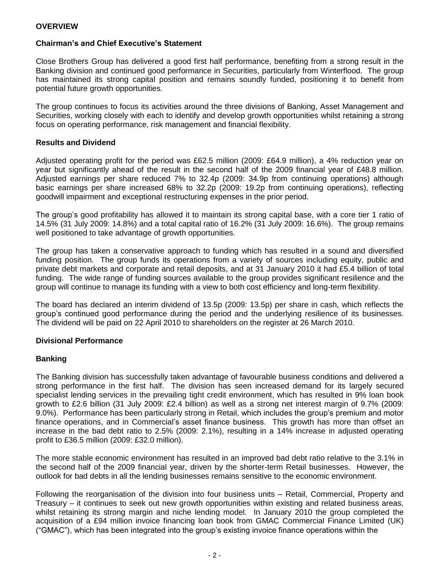### **OVERVIEW**

### **Chairman's and Chief Executive's Statement**

Close Brothers Group has delivered a good first half performance, benefiting from a strong result in the Banking division and continued good performance in Securities, particularly from Winterflood. The group has maintained its strong capital position and remains soundly funded, positioning it to benefit from potential future growth opportunities.

The group continues to focus its activities around the three divisions of Banking, Asset Management and Securities, working closely with each to identify and develop growth opportunities whilst retaining a strong focus on operating performance, risk management and financial flexibility.

### **Results and Dividend**

Adjusted operating profit for the period was £62.5 million (2009: £64.9 million), a 4% reduction year on year but significantly ahead of the result in the second half of the 2009 financial year of £48.8 million. Adjusted earnings per share reduced 7% to 32.4p (2009: 34.9p from continuing operations) although basic earnings per share increased 68% to 32.2p (2009: 19.2p from continuing operations), reflecting goodwill impairment and exceptional restructuring expenses in the prior period.

The group's good profitability has allowed it to maintain its strong capital base, with a core tier 1 ratio of 14.5% (31 July 2009: 14.8%) and a total capital ratio of 16.2% (31 July 2009: 16.6%). The group remains well positioned to take advantage of growth opportunities.

The group has taken a conservative approach to funding which has resulted in a sound and diversified funding position. The group funds its operations from a variety of sources including equity, public and private debt markets and corporate and retail deposits, and at 31 January 2010 it had £5.4 billion of total funding. The wide range of funding sources available to the group provides significant resilience and the group will continue to manage its funding with a view to both cost efficiency and long-term flexibility.

The board has declared an interim dividend of 13.5p (2009: 13.5p) per share in cash, which reflects the group's continued good performance during the period and the underlying resilience of its businesses. The dividend will be paid on 22 April 2010 to shareholders on the register at 26 March 2010.

### **Divisional Performance**

### **Banking**

The Banking division has successfully taken advantage of favourable business conditions and delivered a strong performance in the first half. The division has seen increased demand for its largely secured specialist lending services in the prevailing tight credit environment, which has resulted in 9% loan book growth to £2.6 billion (31 July 2009: £2.4 billion) as well as a strong net interest margin of 9.7% (2009: 9.0%). Performance has been particularly strong in Retail, which includes the group's premium and motor finance operations, and in Commercial's asset finance business. This growth has more than offset an increase in the bad debt ratio to 2.5% (2009: 2.1%), resulting in a 14% increase in adjusted operating profit to £36.5 million (2009: £32.0 million).

The more stable economic environment has resulted in an improved bad debt ratio relative to the 3.1% in the second half of the 2009 financial year, driven by the shorter-term Retail businesses. However, the outlook for bad debts in all the lending businesses remains sensitive to the economic environment.

Following the reorganisation of the division into four business units – Retail, Commercial, Property and Treasury – it continues to seek out new growth opportunities within existing and related business areas, whilst retaining its strong margin and niche lending model. In January 2010 the group completed the acquisition of a £94 million invoice financing loan book from GMAC Commercial Finance Limited (UK) ("GMAC"), which has been integrated into the group's existing invoice finance operations within the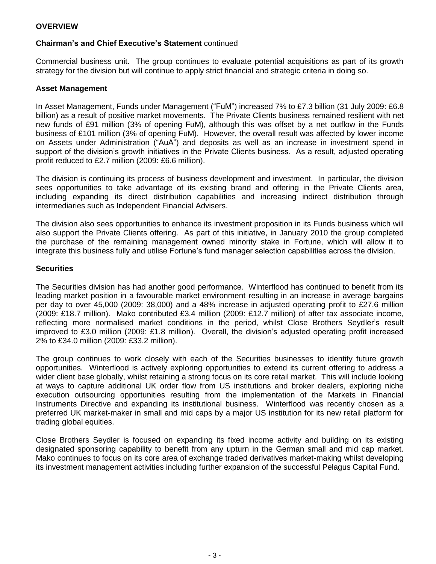### **OVERVIEW**

### **Chairman's and Chief Executive's Statement** continued

Commercial business unit. The group continues to evaluate potential acquisitions as part of its growth strategy for the division but will continue to apply strict financial and strategic criteria in doing so.

### **Asset Management**

In Asset Management, Funds under Management ("FuM") increased 7% to £7.3 billion (31 July 2009: £6.8 billion) as a result of positive market movements. The Private Clients business remained resilient with net new funds of £91 million (3% of opening FuM), although this was offset by a net outflow in the Funds business of £101 million (3% of opening FuM). However, the overall result was affected by lower income on Assets under Administration ("AuA") and deposits as well as an increase in investment spend in support of the division's growth initiatives in the Private Clients business. As a result, adjusted operating profit reduced to £2.7 million (2009: £6.6 million).

The division is continuing its process of business development and investment. In particular, the division sees opportunities to take advantage of its existing brand and offering in the Private Clients area, including expanding its direct distribution capabilities and increasing indirect distribution through intermediaries such as Independent Financial Advisers.

The division also sees opportunities to enhance its investment proposition in its Funds business which will also support the Private Clients offering. As part of this initiative, in January 2010 the group completed the purchase of the remaining management owned minority stake in Fortune, which will allow it to integrate this business fully and utilise Fortune's fund manager selection capabilities across the division.

### **Securities**

The Securities division has had another good performance. Winterflood has continued to benefit from its leading market position in a favourable market environment resulting in an increase in average bargains per day to over 45,000 (2009: 38,000) and a 48% increase in adjusted operating profit to £27.6 million (2009: £18.7 million). Mako contributed £3.4 million (2009: £12.7 million) of after tax associate income, reflecting more normalised market conditions in the period, whilst Close Brothers Seydler's result improved to £3.0 million (2009: £1.8 million). Overall, the division's adjusted operating profit increased 2% to £34.0 million (2009: £33.2 million).

The group continues to work closely with each of the Securities businesses to identify future growth opportunities. Winterflood is actively exploring opportunities to extend its current offering to address a wider client base globally, whilst retaining a strong focus on its core retail market. This will include looking at ways to capture additional UK order flow from US institutions and broker dealers, exploring niche execution outsourcing opportunities resulting from the implementation of the Markets in Financial Instruments Directive and expanding its institutional business. Winterflood was recently chosen as a preferred UK market-maker in small and mid caps by a major US institution for its new retail platform for trading global equities.

Close Brothers Seydler is focused on expanding its fixed income activity and building on its existing designated sponsoring capability to benefit from any upturn in the German small and mid cap market. Mako continues to focus on its core area of exchange traded derivatives market-making whilst developing its investment management activities including further expansion of the successful Pelagus Capital Fund.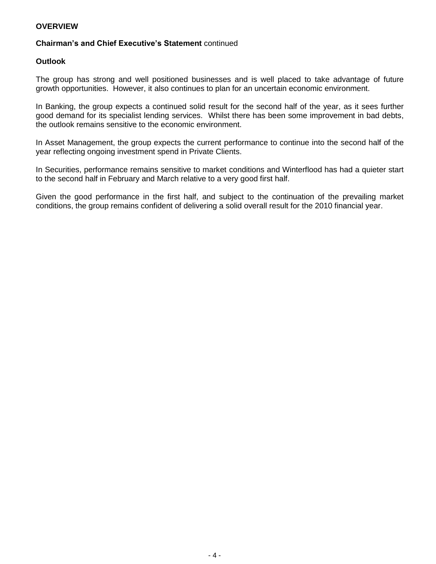### **OVERVIEW**

### **Chairman's and Chief Executive's Statement** continued

### **Outlook**

The group has strong and well positioned businesses and is well placed to take advantage of future growth opportunities. However, it also continues to plan for an uncertain economic environment.

In Banking, the group expects a continued solid result for the second half of the year, as it sees further good demand for its specialist lending services. Whilst there has been some improvement in bad debts, the outlook remains sensitive to the economic environment.

In Asset Management, the group expects the current performance to continue into the second half of the year reflecting ongoing investment spend in Private Clients.

In Securities, performance remains sensitive to market conditions and Winterflood has had a quieter start to the second half in February and March relative to a very good first half.

Given the good performance in the first half, and subject to the continuation of the prevailing market conditions, the group remains confident of delivering a solid overall result for the 2010 financial year.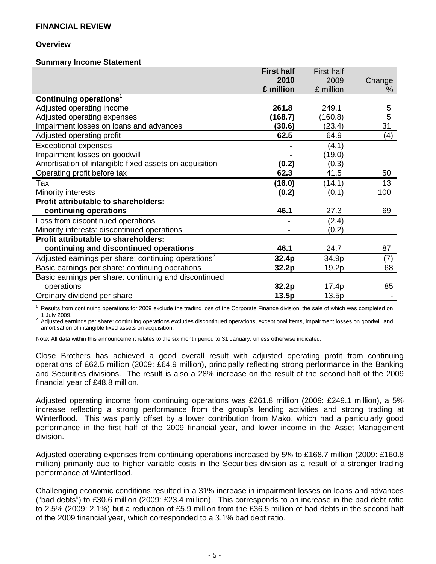#### **Overview**

#### **Summary Income Statement**

|                                                                 | <b>First half</b> | <b>First half</b> |        |
|-----------------------------------------------------------------|-------------------|-------------------|--------|
|                                                                 | 2010              | 2009              | Change |
|                                                                 | £ million         | £ million         | %      |
| Continuing operations <sup>1</sup>                              |                   |                   |        |
| Adjusted operating income                                       | 261.8             | 249.1             | 5      |
| Adjusted operating expenses                                     | (168.7)           | (160.8)           | 5      |
| Impairment losses on loans and advances                         | (30.6)            | (23.4)            | 31     |
| Adjusted operating profit                                       | 62.5              | 64.9              | (4)    |
| <b>Exceptional expenses</b>                                     |                   | (4.1)             |        |
| Impairment losses on goodwill                                   |                   | (19.0)            |        |
| Amortisation of intangible fixed assets on acquisition          | (0.2)             | (0.3)             |        |
| Operating profit before tax                                     | 62.3              | 41.5              | 50     |
| Tax                                                             | (16.0)            | (14.1)            | 13     |
| Minority interests                                              | (0.2)             | (0.1)             | 100    |
| Profit attributable to shareholders:                            |                   |                   |        |
| continuing operations                                           | 46.1              | 27.3              | 69     |
| Loss from discontinued operations                               |                   | (2.4)             |        |
| Minority interests: discontinued operations                     |                   | (0.2)             |        |
| <b>Profit attributable to shareholders:</b>                     |                   |                   |        |
| continuing and discontinued operations                          | 46.1              | 24.7              | 87     |
| Adjusted earnings per share: continuing operations <sup>2</sup> | 32.4p             | 34.9p             | (7)    |
| Basic earnings per share: continuing operations                 | 32.2p             | 19.2p             | 68     |
| Basic earnings per share: continuing and discontinued           |                   |                   |        |
| operations                                                      | 32.2p             | 17.4p             | 85     |
| Ordinary dividend per share                                     | 13.5p             | 13.5p             |        |

Results from continuing operations for 2009 exclude the trading loss of the Corporate Finance division, the sale of which was completed on 1 July 2009.

<sup>2</sup> Adjusted earnings per share: continuing operations excludes discontinued operations, exceptional items, impairment losses on goodwill and amortisation of intangible fixed assets on acquisition.

Note: All data within this announcement relates to the six month period to 31 January, unless otherwise indicated.

Close Brothers has achieved a good overall result with adjusted operating profit from continuing operations of £62.5 million (2009: £64.9 million), principally reflecting strong performance in the Banking and Securities divisions. The result is also a 28% increase on the result of the second half of the 2009 financial year of £48.8 million.

Adjusted operating income from continuing operations was £261.8 million (2009: £249.1 million), a 5% increase reflecting a strong performance from the group's lending activities and strong trading at Winterflood. This was partly offset by a lower contribution from Mako, which had a particularly good performance in the first half of the 2009 financial year, and lower income in the Asset Management division.

Adjusted operating expenses from continuing operations increased by 5% to £168.7 million (2009: £160.8 million) primarily due to higher variable costs in the Securities division as a result of a stronger trading performance at Winterflood.

Challenging economic conditions resulted in a 31% increase in impairment losses on loans and advances ("bad debts") to £30.6 million (2009: £23.4 million). This corresponds to an increase in the bad debt ratio to 2.5% (2009: 2.1%) but a reduction of £5.9 million from the £36.5 million of bad debts in the second half of the 2009 financial year, which corresponded to a 3.1% bad debt ratio.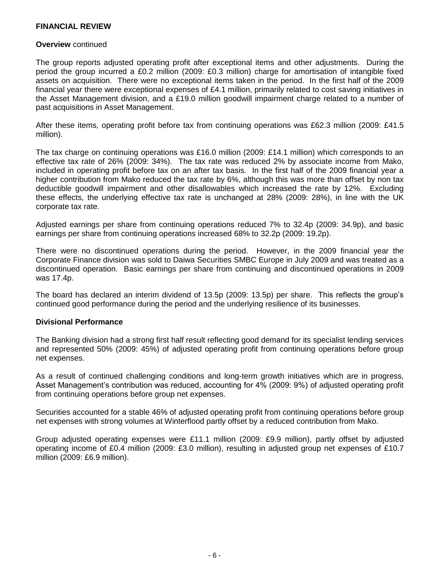#### **Overview** continued

The group reports adjusted operating profit after exceptional items and other adjustments. During the period the group incurred a £0.2 million (2009: £0.3 million) charge for amortisation of intangible fixed assets on acquisition. There were no exceptional items taken in the period. In the first half of the 2009 financial year there were exceptional expenses of £4.1 million, primarily related to cost saving initiatives in the Asset Management division, and a £19.0 million goodwill impairment charge related to a number of past acquisitions in Asset Management.

After these items, operating profit before tax from continuing operations was £62.3 million (2009: £41.5 million).

The tax charge on continuing operations was £16.0 million (2009: £14.1 million) which corresponds to an effective tax rate of 26% (2009: 34%). The tax rate was reduced 2% by associate income from Mako, included in operating profit before tax on an after tax basis. In the first half of the 2009 financial year a higher contribution from Mako reduced the tax rate by 6%, although this was more than offset by non tax deductible goodwill impairment and other disallowables which increased the rate by 12%. Excluding these effects, the underlying effective tax rate is unchanged at 28% (2009: 28%), in line with the UK corporate tax rate.

Adjusted earnings per share from continuing operations reduced 7% to 32.4p (2009: 34.9p), and basic earnings per share from continuing operations increased 68% to 32.2p (2009: 19.2p).

There were no discontinued operations during the period. However, in the 2009 financial year the Corporate Finance division was sold to Daiwa Securities SMBC Europe in July 2009 and was treated as a discontinued operation. Basic earnings per share from continuing and discontinued operations in 2009 was 17.4p.

The board has declared an interim dividend of 13.5p (2009: 13.5p) per share. This reflects the group's continued good performance during the period and the underlying resilience of its businesses.

### **Divisional Performance**

The Banking division had a strong first half result reflecting good demand for its specialist lending services and represented 50% (2009: 45%) of adjusted operating profit from continuing operations before group net expenses.

As a result of continued challenging conditions and long-term growth initiatives which are in progress, Asset Management's contribution was reduced, accounting for 4% (2009: 9%) of adjusted operating profit from continuing operations before group net expenses.

Securities accounted for a stable 46% of adjusted operating profit from continuing operations before group net expenses with strong volumes at Winterflood partly offset by a reduced contribution from Mako.

Group adjusted operating expenses were £11.1 million (2009: £9.9 million), partly offset by adjusted operating income of £0.4 million (2009: £3.0 million), resulting in adjusted group net expenses of £10.7 million (2009: £6.9 million).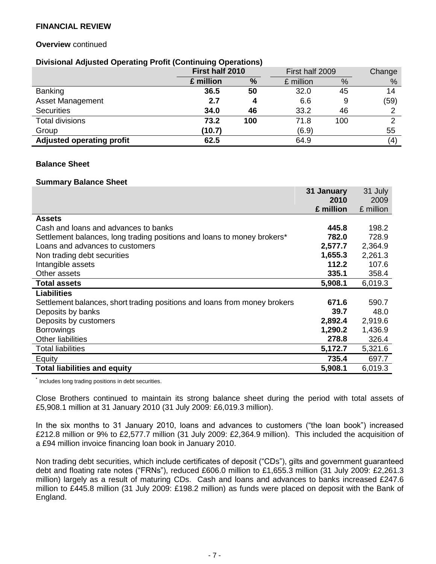### **Overview** continued

### **Divisional Adjusted Operating Profit (Continuing Operations)**

|                                  | First half 2010 |     | First half 2009 |     | Change |
|----------------------------------|-----------------|-----|-----------------|-----|--------|
|                                  | £ million       | %   | £ million       | %   | %      |
| <b>Banking</b>                   | 36.5            | 50  | 32.0            | 45  | 14     |
| <b>Asset Management</b>          | 2.7             | Δ   | 6.6             | 9   | (59)   |
| <b>Securities</b>                | 34.0            | 46  | 33.2            | 46  |        |
| <b>Total divisions</b>           | 73.2            | 100 | 71.8            | 100 | ⌒      |
| Group                            | (10.7)          |     | (6.9)           |     | 55     |
| <b>Adjusted operating profit</b> | 62.5            |     | 64.9            |     | (4)    |

 $21 \cup 1$ 

### **Balance Sheet**

#### **Summary Balance Sheet**

|                                                                           | 31 January | 31 July   |
|---------------------------------------------------------------------------|------------|-----------|
|                                                                           | 2010       | 2009      |
|                                                                           | £ million  | £ million |
| <b>Assets</b>                                                             |            |           |
| Cash and loans and advances to banks                                      | 445.8      | 198.2     |
| Settlement balances, long trading positions and loans to money brokers*   | 782.0      | 728.9     |
| Loans and advances to customers                                           | 2,577.7    | 2,364.9   |
| Non trading debt securities                                               | 1,655.3    | 2,261.3   |
| Intangible assets                                                         | 112.2      | 107.6     |
| Other assets                                                              | 335.1      | 358.4     |
| <b>Total assets</b>                                                       | 5,908.1    | 6,019.3   |
| <b>Liabilities</b>                                                        |            |           |
| Settlement balances, short trading positions and loans from money brokers | 671.6      | 590.7     |
| Deposits by banks                                                         | 39.7       | 48.0      |
| Deposits by customers                                                     | 2,892.4    | 2,919.6   |
| <b>Borrowings</b>                                                         | 1,290.2    | 1,436.9   |
| <b>Other liabilities</b>                                                  | 278.8      | 326.4     |
| <b>Total liabilities</b>                                                  | 5,172.7    | 5,321.6   |
| Equity                                                                    | 735.4      | 697.7     |
| <b>Total liabilities and equity</b>                                       | 5,908.1    | 6,019.3   |

Includes long trading positions in debt securities.

Close Brothers continued to maintain its strong balance sheet during the period with total assets of £5,908.1 million at 31 January 2010 (31 July 2009: £6,019.3 million).

In the six months to 31 January 2010, loans and advances to customers ("the loan book") increased £212.8 million or 9% to £2,577.7 million (31 July 2009: £2,364.9 million). This included the acquisition of a £94 million invoice financing loan book in January 2010.

Non trading debt securities, which include certificates of deposit ("CDs"), gilts and government guaranteed debt and floating rate notes ("FRNs"), reduced £606.0 million to £1,655.3 million (31 July 2009: £2,261.3 million) largely as a result of maturing CDs. Cash and loans and advances to banks increased £247.6 million to £445.8 million (31 July 2009: £198.2 million) as funds were placed on deposit with the Bank of England.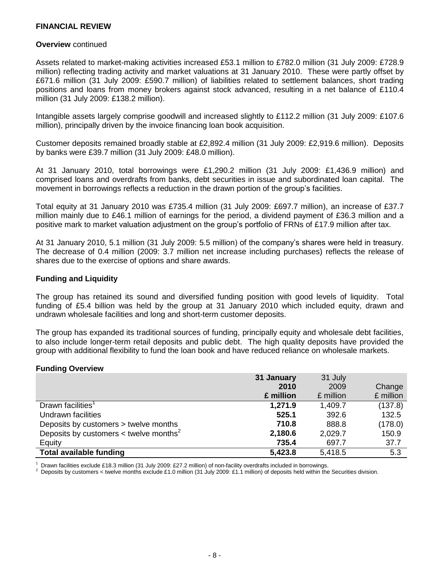#### **Overview** continued

Assets related to market-making activities increased £53.1 million to £782.0 million (31 July 2009: £728.9 million) reflecting trading activity and market valuations at 31 January 2010. These were partly offset by £671.6 million (31 July 2009: £590.7 million) of liabilities related to settlement balances, short trading positions and loans from money brokers against stock advanced, resulting in a net balance of £110.4 million (31 July 2009: £138.2 million).

Intangible assets largely comprise goodwill and increased slightly to £112.2 million (31 July 2009: £107.6 million), principally driven by the invoice financing loan book acquisition.

Customer deposits remained broadly stable at £2,892.4 million (31 July 2009: £2,919.6 million). Deposits by banks were £39.7 million (31 July 2009: £48.0 million).

At 31 January 2010, total borrowings were £1,290.2 million (31 July 2009: £1,436.9 million) and comprised loans and overdrafts from banks, debt securities in issue and subordinated loan capital. The movement in borrowings reflects a reduction in the drawn portion of the group's facilities.

Total equity at 31 January 2010 was £735.4 million (31 July 2009: £697.7 million), an increase of £37.7 million mainly due to £46.1 million of earnings for the period, a dividend payment of £36.3 million and a positive mark to market valuation adjustment on the group's portfolio of FRNs of £17.9 million after tax.

At 31 January 2010, 5.1 million (31 July 2009: 5.5 million) of the company's shares were held in treasury. The decrease of 0.4 million (2009: 3.7 million net increase including purchases) reflects the release of shares due to the exercise of options and share awards.

### **Funding and Liquidity**

The group has retained its sound and diversified funding position with good levels of liquidity. Total funding of £5.4 billion was held by the group at 31 January 2010 which included equity, drawn and undrawn wholesale facilities and long and short-term customer deposits.

The group has expanded its traditional sources of funding, principally equity and wholesale debt facilities, to also include longer-term retail deposits and public debt. The high quality deposits have provided the group with additional flexibility to fund the loan book and have reduced reliance on wholesale markets.

#### **Funding Overview**

|                                                    | 31 January | 31 July   |           |
|----------------------------------------------------|------------|-----------|-----------|
|                                                    | 2010       | 2009      | Change    |
|                                                    | £ million  | £ million | £ million |
| Drawn facilities <sup>1</sup>                      | 1,271.9    | 1,409.7   | (137.8)   |
| Undrawn facilities                                 | 525.1      | 392.6     | 132.5     |
| Deposits by customers > twelve months              | 710.8      | 888.8     | (178.0)   |
| Deposits by customers < twelve months <sup>2</sup> | 2,180.6    | 2,029.7   | 150.9     |
| Equity                                             | 735.4      | 697.7     | 37.7      |
| <b>Total available funding</b>                     | 5,423.8    | 5,418.5   | 5.3       |

Drawn facilities exclude £18.3 million (31 July 2009: £27.2 million) of non-facility overdrafts included in borrowings.

<sup>2</sup> Deposits by customers < twelve months exclude £1.0 million (31 July 2009: £1.1 million) of deposits held within the Securities division.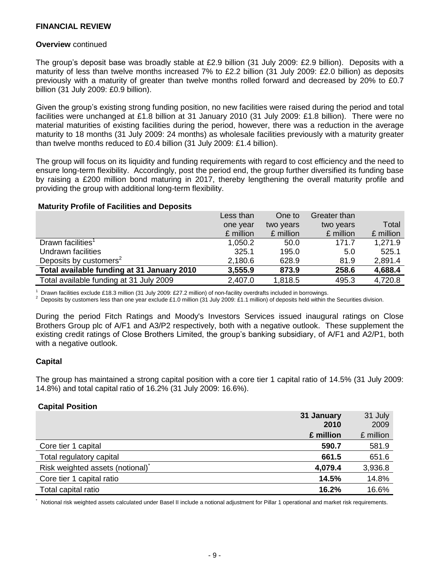#### **Overview** continued

The group's deposit base was broadly stable at £2.9 billion (31 July 2009: £2.9 billion). Deposits with a maturity of less than twelve months increased 7% to £2.2 billion (31 July 2009: £2.0 billion) as deposits previously with a maturity of greater than twelve months rolled forward and decreased by 20% to £0.7 billion (31 July 2009: £0.9 billion).

Given the group's existing strong funding position, no new facilities were raised during the period and total facilities were unchanged at £1.8 billion at 31 January 2010 (31 July 2009: £1.8 billion). There were no material maturities of existing facilities during the period, however, there was a reduction in the average maturity to 18 months (31 July 2009: 24 months) as wholesale facilities previously with a maturity greater than twelve months reduced to £0.4 billion (31 July 2009: £1.4 billion).

The group will focus on its liquidity and funding requirements with regard to cost efficiency and the need to ensure long-term flexibility. Accordingly, post the period end, the group further diversified its funding base by raising a £200 million bond maturing in 2017, thereby lengthening the overall maturity profile and providing the group with additional long-term flexibility.

#### **Maturity Profile of Facilities and Deposits**

|                                            | Less than | One to    | Greater than |           |
|--------------------------------------------|-----------|-----------|--------------|-----------|
|                                            | one year  | two years | two years    | Total     |
|                                            | £ million | £ million | £ million    | £ million |
| Drawn facilities <sup>1</sup>              | 1,050.2   | 50.0      | 171.7        | 1,271.9   |
| Undrawn facilities                         | 325.1     | 195.0     | 5.0          | 525.1     |
| Deposits by customers <sup>2</sup>         | 2,180.6   | 628.9     | 81.9         | 2,891.4   |
| Total available funding at 31 January 2010 | 3,555.9   | 873.9     | 258.6        | 4,688.4   |
| Total available funding at 31 July 2009    | 2,407.0   | 1,818.5   | 495.3        | 4,720.8   |

<sup>1</sup> Drawn facilities exclude £18.3 million (31 July 2009: £27.2 million) of non-facility overdrafts included in borrowings.

<sup>2</sup> Deposits by customers less than one year exclude £1.0 million (31 July 2009: £1.1 million) of deposits held within the Securities division.

During the period Fitch Ratings and Moody's Investors Services issued inaugural ratings on Close Brothers Group plc of A/F1 and A3/P2 respectively, both with a negative outlook. These supplement the existing credit ratings of Close Brothers Limited, the group's banking subsidiary, of A/F1 and A2/P1, both with a negative outlook.

### **Capital**

The group has maintained a strong capital position with a core tier 1 capital ratio of 14.5% (31 July 2009: 14.8%) and total capital ratio of 16.2% (31 July 2009: 16.6%).

### **Capital Position**

|                                              | 31 January<br>2010 | 31 July<br>2009 |
|----------------------------------------------|--------------------|-----------------|
|                                              | £ million          | £ million       |
| Core tier 1 capital                          | 590.7              | 581.9           |
| Total regulatory capital                     | 661.5              | 651.6           |
| Risk weighted assets (notional) <sup>*</sup> | 4,079.4            | 3,936.8         |
| Core tier 1 capital ratio                    | 14.5%              | 14.8%           |
| Total capital ratio                          | 16.2%              | 16.6%           |

Notional risk weighted assets calculated under Basel II include a notional adjustment for Pillar 1 operational and market risk requirements.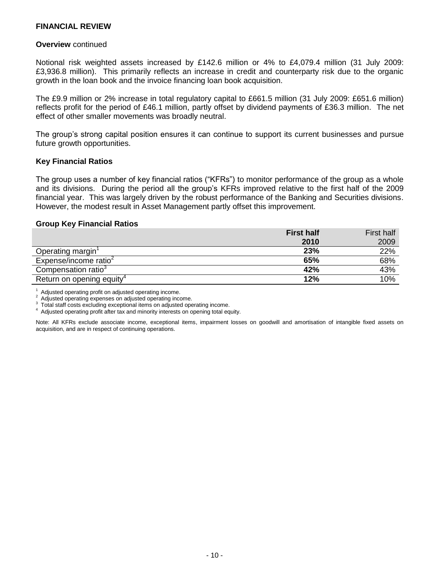#### **Overview** continued

Notional risk weighted assets increased by £142.6 million or 4% to £4,079.4 million (31 July 2009: £3,936.8 million). This primarily reflects an increase in credit and counterparty risk due to the organic growth in the loan book and the invoice financing loan book acquisition.

The £9.9 million or 2% increase in total regulatory capital to £661.5 million (31 July 2009: £651.6 million) reflects profit for the period of £46.1 million, partly offset by dividend payments of £36.3 million. The net effect of other smaller movements was broadly neutral.

The group's strong capital position ensures it can continue to support its current businesses and pursue future growth opportunities.

### **Key Financial Ratios**

The group uses a number of key financial ratios ("KFRs") to monitor performance of the group as a whole and its divisions. During the period all the group's KFRs improved relative to the first half of the 2009 financial year. This was largely driven by the robust performance of the Banking and Securities divisions. However, the modest result in Asset Management partly offset this improvement.

#### **Group Key Financial Ratios**

|                                       | <b>First half</b> | <b>First half</b> |
|---------------------------------------|-------------------|-------------------|
|                                       | 2010              | 2009              |
| Operating margin                      | 23%               | 22%               |
| Expense/income ratio <sup>2</sup>     | 65%               | 68%               |
| Compensation ratio <sup>3</sup>       | 42%               | 43%               |
| Return on opening equity <sup>4</sup> | 12%               | 10%               |

<sup>1</sup> Adjusted operating profit on adjusted operating income.<br> $\frac{2}{3}$  Adjusted operating expanses an edjusted operating income.

Adjusted operating expenses on adjusted operating income.

<sup>3</sup> Total staff costs excluding exceptional items on adjusted operating income.

<sup>4</sup> Adjusted operating profit after tax and minority interests on opening total equity.

Note: All KFRs exclude associate income, exceptional items, impairment losses on goodwill and amortisation of intangible fixed assets on acquisition, and are in respect of continuing operations.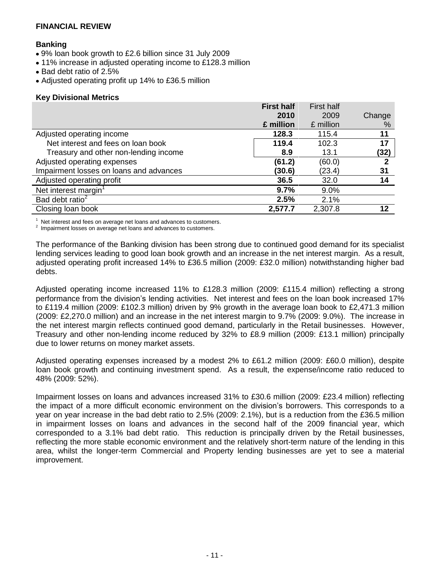### **Banking**

- 9% loan book growth to £2.6 billion since 31 July 2009
- 11% increase in adjusted operating income to £128.3 million
- Bad debt ratio of 2.5%
- Adjusted operating profit up 14% to £36.5 million

### **Key Divisional Metrics**

|                                         | <b>First half</b> | <b>First half</b> |        |
|-----------------------------------------|-------------------|-------------------|--------|
|                                         | 2010              | 2009              | Change |
|                                         | £ million         | £ million         | %      |
| Adjusted operating income               | 128.3             | 115.4             | 11     |
| Net interest and fees on loan book      | 119.4             | 102.3             | 17     |
| Treasury and other non-lending income   | 8.9               | 13.1              | (32)   |
| Adjusted operating expenses             | (61.2)            | (60.0)            | 2      |
| Impairment losses on loans and advances | (30.6)            | (23.4)            | 31     |
| Adjusted operating profit               | 36.5              | 32.0              | 14     |
| Net interest margin <sup>1</sup>        | 9.7%              | 9.0%              |        |
| Bad debt ratio <sup>2</sup>             | 2.5%              | 2.1%              |        |
| Closing loan book                       | 2,577.7           | 2,307.8           | 12     |

 $\frac{1}{2}$  Net interest and fees on average net loans and advances to customers.

Impairment losses on average net loans and advances to customers.

The performance of the Banking division has been strong due to continued good demand for its specialist lending services leading to good loan book growth and an increase in the net interest margin. As a result, adjusted operating profit increased 14% to £36.5 million (2009: £32.0 million) notwithstanding higher bad debts.

Adjusted operating income increased 11% to £128.3 million (2009: £115.4 million) reflecting a strong performance from the division's lending activities. Net interest and fees on the loan book increased 17% to £119.4 million (2009: £102.3 million) driven by 9% growth in the average loan book to £2,471.3 million (2009: £2,270.0 million) and an increase in the net interest margin to 9.7% (2009: 9.0%). The increase in the net interest margin reflects continued good demand, particularly in the Retail businesses. However, Treasury and other non-lending income reduced by 32% to £8.9 million (2009: £13.1 million) principally due to lower returns on money market assets.

Adjusted operating expenses increased by a modest 2% to £61.2 million (2009: £60.0 million), despite loan book growth and continuing investment spend. As a result, the expense/income ratio reduced to 48% (2009: 52%).

Impairment losses on loans and advances increased 31% to £30.6 million (2009: £23.4 million) reflecting the impact of a more difficult economic environment on the division's borrowers. This corresponds to a year on year increase in the bad debt ratio to 2.5% (2009: 2.1%), but is a reduction from the £36.5 million in impairment losses on loans and advances in the second half of the 2009 financial year, which corresponded to a 3.1% bad debt ratio. This reduction is principally driven by the Retail businesses, reflecting the more stable economic environment and the relatively short-term nature of the lending in this area, whilst the longer-term Commercial and Property lending businesses are yet to see a material improvement.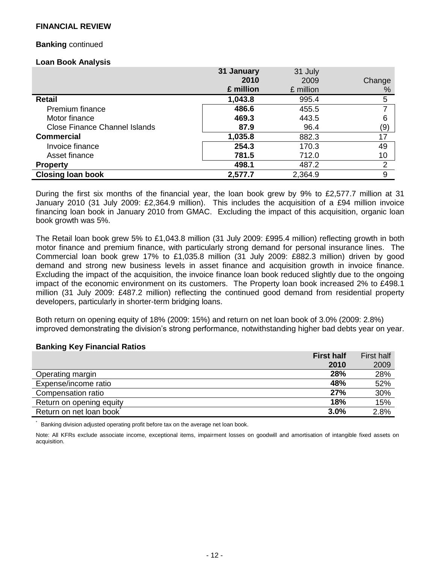### **Banking** continued

#### **Loan Book Analysis**

|                                      | 31 January | 31 July   |                |
|--------------------------------------|------------|-----------|----------------|
|                                      | 2010       | 2009      | Change         |
|                                      | £ million  | £ million | %              |
| Retail                               | 1,043.8    | 995.4     | 5              |
| <b>Premium finance</b>               | 486.6      | 455.5     | 7              |
| Motor finance                        | 469.3      | 443.5     | 6              |
| <b>Close Finance Channel Islands</b> | 87.9       | 96.4      | (9)            |
| <b>Commercial</b>                    | 1,035.8    | 882.3     | 17             |
| Invoice finance                      | 254.3      | 170.3     | 49             |
| Asset finance                        | 781.5      | 712.0     | 10             |
| <b>Property</b>                      | 498.1      | 487.2     | $\overline{2}$ |
| <b>Closing loan book</b>             | 2,577.7    | 2,364.9   | 9              |

During the first six months of the financial year, the loan book grew by 9% to £2,577.7 million at 31 January 2010 (31 July 2009: £2,364.9 million). This includes the acquisition of a £94 million invoice financing loan book in January 2010 from GMAC. Excluding the impact of this acquisition, organic loan book growth was 5%.

The Retail loan book grew 5% to £1,043.8 million (31 July 2009: £995.4 million) reflecting growth in both motor finance and premium finance, with particularly strong demand for personal insurance lines. The Commercial loan book grew 17% to £1,035.8 million (31 July 2009: £882.3 million) driven by good demand and strong new business levels in asset finance and acquisition growth in invoice finance. Excluding the impact of the acquisition, the invoice finance loan book reduced slightly due to the ongoing impact of the economic environment on its customers. The Property loan book increased 2% to £498.1 million (31 July 2009: £487.2 million) reflecting the continued good demand from residential property developers, particularly in shorter-term bridging loans.

Both return on opening equity of 18% (2009: 15%) and return on net loan book of 3.0% (2009: 2.8%) improved demonstrating the division's strong performance, notwithstanding higher bad debts year on year.

### **Banking Key Financial Ratios**

|                          | <b>First half</b> | <b>First half</b> |
|--------------------------|-------------------|-------------------|
|                          | 2010              | 2009              |
| Operating margin         | 28%               | 28%               |
| Expense/income ratio     | 48%               | 52%               |
| Compensation ratio       | 27%               | 30%               |
| Return on opening equity | 18%               | 15%               |
| Return on net loan book  | 3.0%              | 2.8%              |

Banking division adjusted operating profit before tax on the average net loan book.

Note: All KFRs exclude associate income, exceptional items, impairment losses on goodwill and amortisation of intangible fixed assets on acquisition.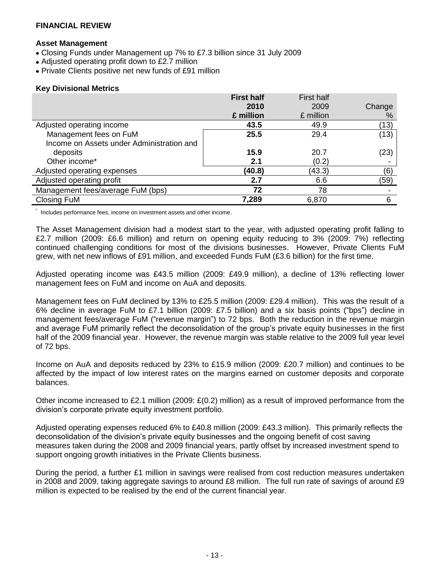#### **Asset Management**

- Closing Funds under Management up 7% to £7.3 billion since 31 July 2009
- Adjusted operating profit down to £2.7 million
- Private Clients positive net new funds of £91 million

### **Key Divisional Metrics**

\*

|                                           | <b>First half</b> | <b>First half</b> |        |
|-------------------------------------------|-------------------|-------------------|--------|
|                                           | 2010              | 2009              | Change |
|                                           | £ million         | £ million         | %      |
| Adjusted operating income                 | 43.5              | 49.9              | (13)   |
| Management fees on FuM                    | 25.5              | 29.4              | (13)   |
| Income on Assets under Administration and |                   |                   |        |
| deposits                                  | 15.9              | 20.7              | (23)   |
| Other income*                             | 2.1               | (0.2)             |        |
| Adjusted operating expenses               | (40.8)            | (43.3)            | (6)    |
| Adjusted operating profit                 | 2.7               | 6.6               | (59)   |
| Management fees/average FuM (bps)         | 72                | 78                |        |
| Closing FuM                               | 7,289             | 6,870             | 6      |

Includes performance fees, income on investment assets and other income.

The Asset Management division had a modest start to the year, with adjusted operating profit falling to £2.7 million (2009: £6.6 million) and return on opening equity reducing to 3% (2009: 7%) reflecting continued challenging conditions for most of the divisions businesses. However, Private Clients FuM grew, with net new inflows of £91 million, and exceeded Funds FuM (£3.6 billion) for the first time.

Adjusted operating income was £43.5 million (2009: £49.9 million), a decline of 13% reflecting lower management fees on FuM and income on AuA and deposits.

Management fees on FuM declined by 13% to £25.5 million (2009: £29.4 million). This was the result of a 6% decline in average FuM to £7.1 billion (2009: £7.5 billion) and a six basis points ("bps") decline in management fees/average FuM ("revenue margin") to 72 bps. Both the reduction in the revenue margin and average FuM primarily reflect the deconsolidation of the group's private equity businesses in the first half of the 2009 financial year. However, the revenue margin was stable relative to the 2009 full year level of 72 bps.

Income on AuA and deposits reduced by 23% to £15.9 million (2009: £20.7 million) and continues to be affected by the impact of low interest rates on the margins earned on customer deposits and corporate balances.

Other income increased to £2.1 million (2009: £(0.2) million) as a result of improved performance from the division's corporate private equity investment portfolio.

Adjusted operating expenses reduced 6% to £40.8 million (2009: £43.3 million). This primarily reflects the deconsolidation of the division's private equity businesses and the ongoing benefit of cost saving measures taken during the 2008 and 2009 financial years, partly offset by increased investment spend to support ongoing growth initiatives in the Private Clients business.

During the period, a further £1 million in savings were realised from cost reduction measures undertaken in 2008 and 2009, taking aggregate savings to around £8 million. The full run rate of savings of around £9 million is expected to be realised by the end of the current financial year.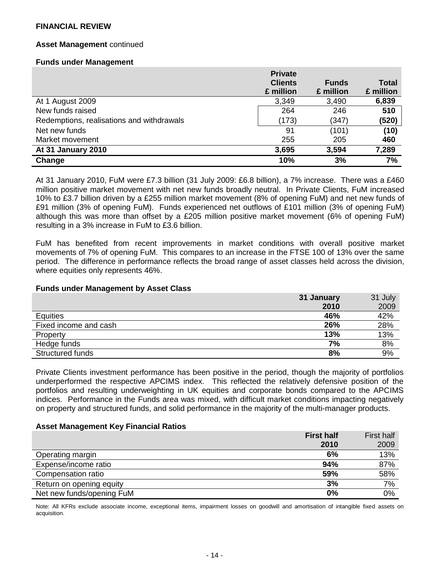### **Asset Management** continued

#### **Funds under Management**

|                                           | <b>Private</b> |              |           |
|-------------------------------------------|----------------|--------------|-----------|
|                                           | <b>Clients</b> | <b>Funds</b> | Total     |
|                                           | £ million      | £ million    | £ million |
| At 1 August 2009                          | 3,349          | 3,490        | 6,839     |
| New funds raised                          | 264            | 246          | 510       |
| Redemptions, realisations and withdrawals | (173)          | (347)        | (520)     |
| Net new funds                             | 91             | (101)        | (10)      |
| Market movement                           | 255            | 205          | 460       |
| At 31 January 2010                        | 3,695          | 3,594        | 7,289     |
| Change                                    | 10%            | 3%           | 7%        |

At 31 January 2010, FuM were £7.3 billion (31 July 2009: £6.8 billion), a 7% increase. There was a £460 million positive market movement with net new funds broadly neutral. In Private Clients, FuM increased 10% to £3.7 billion driven by a £255 million market movement (8% of opening FuM) and net new funds of £91 million (3% of opening FuM). Funds experienced net outflows of £101 million (3% of opening FuM) although this was more than offset by a £205 million positive market movement (6% of opening FuM) resulting in a 3% increase in FuM to £3.6 billion.

FuM has benefited from recent improvements in market conditions with overall positive market movements of 7% of opening FuM. This compares to an increase in the FTSE 100 of 13% over the same period. The difference in performance reflects the broad range of asset classes held across the division, where equities only represents 46%.

#### **Funds under Management by Asset Class**

|                       | 31 January | 31 July |
|-----------------------|------------|---------|
|                       | 2010       | 2009    |
| <b>Equities</b>       | 46%        | 42%     |
| Fixed income and cash | 26%        | 28%     |
| Property              | 13%        | 13%     |
| Hedge funds           | 7%         | 8%      |
| Structured funds      | 8%         | 9%      |

Private Clients investment performance has been positive in the period, though the majority of portfolios underperformed the respective APCIMS index. This reflected the relatively defensive position of the portfolios and resulting underweighting in UK equities and corporate bonds compared to the APCIMS indices. Performance in the Funds area was mixed, with difficult market conditions impacting negatively on property and structured funds, and solid performance in the majority of the multi-manager products.

#### **Asset Management Key Financial Ratios**

|                           | <b>First half</b> | First half |
|---------------------------|-------------------|------------|
|                           | 2010              | 2009       |
| Operating margin          | 6%                | 13%        |
| Expense/income ratio      | 94%               | 87%        |
| Compensation ratio        | 59%               | 58%        |
| Return on opening equity  | 3%                | 7%         |
| Net new funds/opening FuM | 0%                | 0%         |

Note: All KFRs exclude associate income, exceptional items, impairment losses on goodwill and amortisation of intangible fixed assets on acquisition.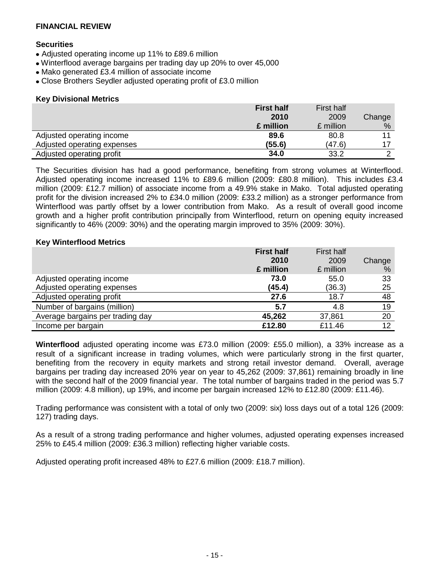### **Securities**

- Adjusted operating income up 11% to £89.6 million
- Winterflood average bargains per trading day up 20% to over 45,000
- Mako generated £3.4 million of associate income
- Close Brothers Seydler adjusted operating profit of £3.0 million

### **Key Divisional Metrics**

|                             | <b>First half</b> | <b>First half</b> |        |
|-----------------------------|-------------------|-------------------|--------|
|                             | 2010              | 2009              | Change |
|                             | £ million         | £ million         | %      |
| Adjusted operating income   | 89.6              | 80.8              |        |
| Adjusted operating expenses | (55.6)            | (47.6)            |        |
| Adjusted operating profit   | 34.0              | 33.2              |        |

The Securities division has had a good performance, benefiting from strong volumes at Winterflood. Adjusted operating income increased 11% to £89.6 million (2009: £80.8 million). This includes £3.4 million (2009: £12.7 million) of associate income from a 49.9% stake in Mako. Total adjusted operating profit for the division increased 2% to £34.0 million (2009: £33.2 million) as a stronger performance from Winterflood was partly offset by a lower contribution from Mako. As a result of overall good income growth and a higher profit contribution principally from Winterflood, return on opening equity increased significantly to 46% (2009: 30%) and the operating margin improved to 35% (2009: 30%).

### **Key Winterflood Metrics**

|                                  | <b>First half</b> | <b>First half</b> |        |
|----------------------------------|-------------------|-------------------|--------|
|                                  | 2010              | 2009              | Change |
|                                  | £ million         | £ million         | %      |
| Adjusted operating income        | 73.0              | 55.0              | 33     |
| Adjusted operating expenses      | (45.4)            | (36.3)            | 25     |
| Adjusted operating profit        | 27.6              | 18.7              | 48     |
| Number of bargains (million)     | 5.7               | 4.8               | 19     |
| Average bargains per trading day | 45,262            | 37,861            | 20     |
| Income per bargain               | £12.80            | £11.46            | 12     |

**Winterflood** adjusted operating income was £73.0 million (2009: £55.0 million), a 33% increase as a result of a significant increase in trading volumes, which were particularly strong in the first quarter, benefiting from the recovery in equity markets and strong retail investor demand. Overall, average bargains per trading day increased 20% year on year to 45,262 (2009: 37,861) remaining broadly in line with the second half of the 2009 financial year. The total number of bargains traded in the period was 5.7 million (2009: 4.8 million), up 19%, and income per bargain increased 12% to £12.80 (2009: £11.46).

Trading performance was consistent with a total of only two (2009: six) loss days out of a total 126 (2009: 127) trading days.

As a result of a strong trading performance and higher volumes, adjusted operating expenses increased 25% to £45.4 million (2009: £36.3 million) reflecting higher variable costs.

Adjusted operating profit increased 48% to £27.6 million (2009: £18.7 million).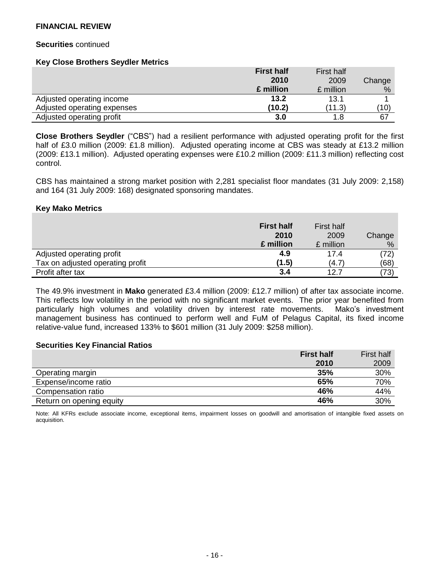#### **Securities** continued

#### **Key Close Brothers Seydler Metrics**

|                             | <b>First half</b> | <b>First half</b> |        |
|-----------------------------|-------------------|-------------------|--------|
|                             | 2010              | 2009              | Change |
|                             | £ million         | £ million         | %      |
| Adjusted operating income   | 13.2              | 13.1              |        |
| Adjusted operating expenses | (10.2)            | (11.3)            | (10)   |
| Adjusted operating profit   | 3.0               | 1.8               | 67     |

**Close Brothers Seydler** ("CBS") had a resilient performance with adjusted operating profit for the first half of £3.0 million (2009: £1.8 million). Adjusted operating income at CBS was steady at £13.2 million (2009: £13.1 million). Adjusted operating expenses were £10.2 million (2009: £11.3 million) reflecting cost control.

CBS has maintained a strong market position with 2,281 specialist floor mandates (31 July 2009: 2,158) and 164 (31 July 2009: 168) designated sponsoring mandates.

#### **Key Mako Metrics**

|                                  | <b>First half</b><br>2010<br>£ million | First half<br>2009<br>£ million | Change<br>% |
|----------------------------------|----------------------------------------|---------------------------------|-------------|
| Adjusted operating profit        | 4.9                                    | 17.4                            | (72)        |
| Tax on adjusted operating profit | (1.5)                                  | (4.7)                           | (68)        |
| Profit after tax                 | 3.4                                    | 12.7                            | (73)        |

The 49.9% investment in **Mako** generated £3.4 million (2009: £12.7 million) of after tax associate income. This reflects low volatility in the period with no significant market events. The prior year benefited from particularly high volumes and volatility driven by interest rate movements. Mako's investment management business has continued to perform well and FuM of Pelagus Capital, its fixed income relative-value fund, increased 133% to \$601 million (31 July 2009: \$258 million).

#### **Securities Key Financial Ratios**

|                          | <b>First half</b> | <b>First half</b> |
|--------------------------|-------------------|-------------------|
|                          | 2010              | 2009              |
| Operating margin         | 35%               | 30%               |
| Expense/income ratio     | 65%               | 70%               |
| Compensation ratio       | 46%               | 44%               |
| Return on opening equity | 46%               | 30%               |

Note: All KFRs exclude associate income, exceptional items, impairment losses on goodwill and amortisation of intangible fixed assets on acquisition.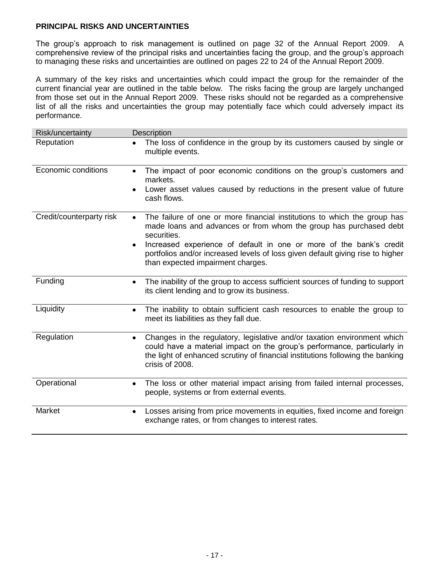### **PRINCIPAL RISKS AND UNCERTAINTIES**

The group's approach to risk management is outlined on page 32 of the Annual Report 2009. A comprehensive review of the principal risks and uncertainties facing the group, and the group's approach to managing these risks and uncertainties are outlined on pages 22 to 24 of the Annual Report 2009.

A summary of the key risks and uncertainties which could impact the group for the remainder of the current financial year are outlined in the table below. The risks facing the group are largely unchanged from those set out in the Annual Report 2009. These risks should not be regarded as a comprehensive list of all the risks and uncertainties the group may potentially face which could adversely impact its performance.

| Risk/uncertainty         | <b>Description</b>                                                                                                                                                                                                                                                                                                                                                           |
|--------------------------|------------------------------------------------------------------------------------------------------------------------------------------------------------------------------------------------------------------------------------------------------------------------------------------------------------------------------------------------------------------------------|
| Reputation               | The loss of confidence in the group by its customers caused by single or<br>multiple events.                                                                                                                                                                                                                                                                                 |
| Economic conditions      | The impact of poor economic conditions on the group's customers and<br>$\bullet$<br>markets.<br>Lower asset values caused by reductions in the present value of future<br>cash flows.                                                                                                                                                                                        |
| Credit/counterparty risk | The failure of one or more financial institutions to which the group has<br>$\bullet$<br>made loans and advances or from whom the group has purchased debt<br>securities.<br>Increased experience of default in one or more of the bank's credit<br>٠<br>portfolios and/or increased levels of loss given default giving rise to higher<br>than expected impairment charges. |
| Funding                  | The inability of the group to access sufficient sources of funding to support<br>٠<br>its client lending and to grow its business.                                                                                                                                                                                                                                           |
| Liquidity                | The inability to obtain sufficient cash resources to enable the group to<br>٠<br>meet its liabilities as they fall due.                                                                                                                                                                                                                                                      |
| Regulation               | Changes in the regulatory, legislative and/or taxation environment which<br>٠<br>could have a material impact on the group's performance, particularly in<br>the light of enhanced scrutiny of financial institutions following the banking<br>crisis of 2008.                                                                                                               |
| Operational              | The loss or other material impact arising from failed internal processes,<br>٠<br>people, systems or from external events.                                                                                                                                                                                                                                                   |
| Market                   | Losses arising from price movements in equities, fixed income and foreign<br>٠<br>exchange rates, or from changes to interest rates.                                                                                                                                                                                                                                         |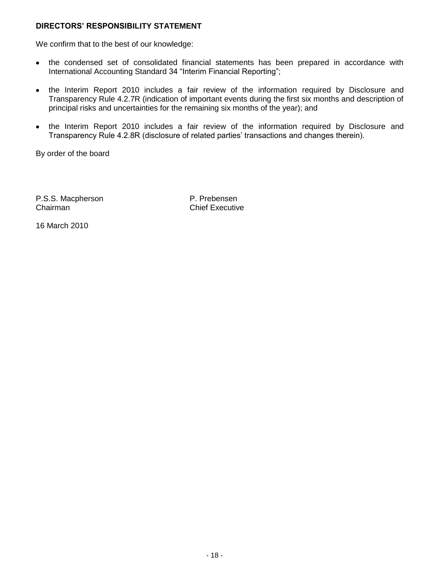### **DIRECTORS' RESPONSIBILITY STATEMENT**

We confirm that to the best of our knowledge:

- the condensed set of consolidated financial statements has been prepared in accordance with International Accounting Standard 34 "Interim Financial Reporting";
- the Interim Report 2010 includes a fair review of the information required by Disclosure and  $\bullet$ Transparency Rule 4.2.7R (indication of important events during the first six months and description of principal risks and uncertainties for the remaining six months of the year); and
- the Interim Report 2010 includes a fair review of the information required by Disclosure and Transparency Rule 4.2.8R (disclosure of related parties' transactions and changes therein).

By order of the board

P.S.S. Macpherson **P.S.S. Macpherson** Chairman Chairman Chief Executive

16 March 2010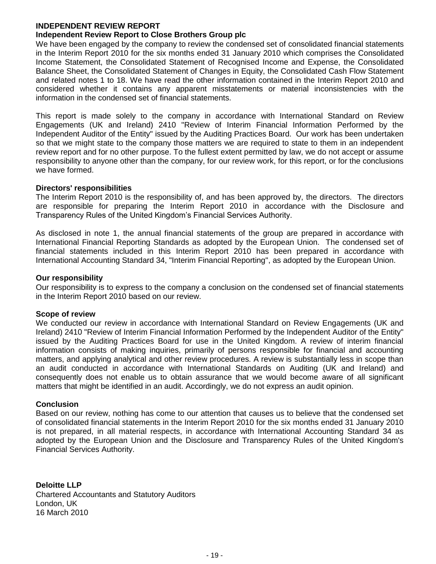#### **INDEPENDENT REVIEW REPORT Independent Review Report to Close Brothers Group plc**

We have been engaged by the company to review the condensed set of consolidated financial statements in the Interim Report 2010 for the six months ended 31 January 2010 which comprises the Consolidated Income Statement, the Consolidated Statement of Recognised Income and Expense, the Consolidated Balance Sheet, the Consolidated Statement of Changes in Equity, the Consolidated Cash Flow Statement and related notes 1 to 18. We have read the other information contained in the Interim Report 2010 and considered whether it contains any apparent misstatements or material inconsistencies with the information in the condensed set of financial statements.

This report is made solely to the company in accordance with International Standard on Review Engagements (UK and Ireland) 2410 "Review of Interim Financial Information Performed by the Independent Auditor of the Entity" issued by the Auditing Practices Board. Our work has been undertaken so that we might state to the company those matters we are required to state to them in an independent review report and for no other purpose. To the fullest extent permitted by law, we do not accept or assume responsibility to anyone other than the company, for our review work, for this report, or for the conclusions we have formed.

### **Directors' responsibilities**

The Interim Report 2010 is the responsibility of, and has been approved by, the directors. The directors are responsible for preparing the Interim Report 2010 in accordance with the Disclosure and Transparency Rules of the United Kingdom's Financial Services Authority.

As disclosed in note 1, the annual financial statements of the group are prepared in accordance with International Financial Reporting Standards as adopted by the European Union. The condensed set of financial statements included in this Interim Report 2010 has been prepared in accordance with International Accounting Standard 34, "Interim Financial Reporting", as adopted by the European Union.

### **Our responsibility**

Our responsibility is to express to the company a conclusion on the condensed set of financial statements in the Interim Report 2010 based on our review.

### **Scope of review**

We conducted our review in accordance with International Standard on Review Engagements (UK and Ireland) 2410 "Review of Interim Financial Information Performed by the Independent Auditor of the Entity" issued by the Auditing Practices Board for use in the United Kingdom. A review of interim financial information consists of making inquiries, primarily of persons responsible for financial and accounting matters, and applying analytical and other review procedures. A review is substantially less in scope than an audit conducted in accordance with International Standards on Auditing (UK and Ireland) and consequently does not enable us to obtain assurance that we would become aware of all significant matters that might be identified in an audit. Accordingly, we do not express an audit opinion.

### **Conclusion**

Based on our review, nothing has come to our attention that causes us to believe that the condensed set of consolidated financial statements in the Interim Report 2010 for the six months ended 31 January 2010 is not prepared, in all material respects, in accordance with International Accounting Standard 34 as adopted by the European Union and the Disclosure and Transparency Rules of the United Kingdom's Financial Services Authority.

**Deloitte LLP** Chartered Accountants and Statutory Auditors London, UK 16 March 2010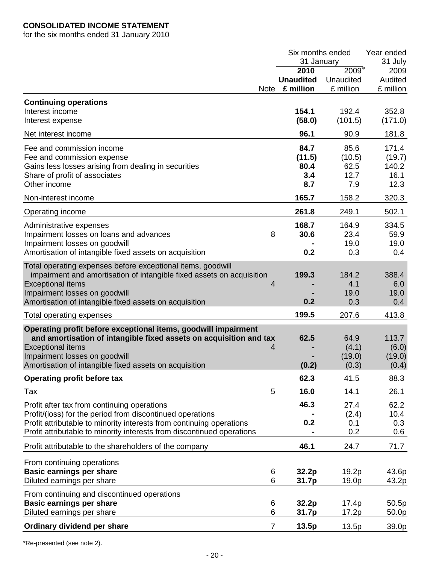# **CONSOLIDATED INCOME STATEMENT**

for the six months ended 31 January 2010

|                                                                        | Six months ended |           | Year ended |
|------------------------------------------------------------------------|------------------|-----------|------------|
|                                                                        | 31 January       |           | 31 July    |
|                                                                        | 2010             | 2009*     | 2009       |
|                                                                        | <b>Unaudited</b> | Unaudited | Audited    |
| <b>Note</b>                                                            | £ million        | £ million | £ million  |
| <b>Continuing operations</b>                                           |                  |           |            |
| Interest income                                                        | 154.1            | 192.4     | 352.8      |
| Interest expense                                                       | (58.0)           | (101.5)   | (171.0)    |
|                                                                        |                  |           |            |
| Net interest income                                                    | 96.1             | 90.9      | 181.8      |
| Fee and commission income                                              | 84.7             | 85.6      | 171.4      |
| Fee and commission expense                                             | (11.5)           | (10.5)    | (19.7)     |
| Gains less losses arising from dealing in securities                   | 80.4             | 62.5      | 140.2      |
| Share of profit of associates                                          | 3.4              | 12.7      | 16.1       |
| Other income                                                           | 8.7              | 7.9       | 12.3       |
| Non-interest income                                                    | 165.7            | 158.2     | 320.3      |
|                                                                        |                  |           |            |
| Operating income                                                       | 261.8            | 249.1     | 502.1      |
| Administrative expenses                                                | 168.7            | 164.9     | 334.5      |
| Impairment losses on loans and advances<br>8                           | 30.6             | 23.4      | 59.9       |
| Impairment losses on goodwill                                          |                  | 19.0      | 19.0       |
| Amortisation of intangible fixed assets on acquisition                 | 0.2              | 0.3       | 0.4        |
| Total operating expenses before exceptional items, goodwill            |                  |           |            |
| impairment and amortisation of intangible fixed assets on acquisition  | 199.3            | 184.2     | 388.4      |
|                                                                        |                  | 4.1       |            |
| <b>Exceptional items</b><br>4                                          |                  |           | 6.0        |
| Impairment losses on goodwill                                          |                  | 19.0      | 19.0       |
| Amortisation of intangible fixed assets on acquisition                 | 0.2              | 0.3       | 0.4        |
| Total operating expenses                                               | 199.5            | 207.6     | 413.8      |
| Operating profit before exceptional items, goodwill impairment         |                  |           |            |
| and amortisation of intangible fixed assets on acquisition and tax     | 62.5             | 64.9      | 113.7      |
| <b>Exceptional items</b><br>4                                          |                  | (4.1)     | (6.0)      |
| Impairment losses on goodwill                                          |                  | (19.0)    | (19.0)     |
| Amortisation of intangible fixed assets on acquisition                 | (0.2)            | (0.3)     | (0.4)      |
| <b>Operating profit before tax</b>                                     | 62.3             | 41.5      | 88.3       |
|                                                                        |                  |           |            |
| 5<br>Tax                                                               | 16.0             | 14.1      | 26.1       |
| Profit after tax from continuing operations                            | 46.3             | 27.4      | 62.2       |
| Profit/(loss) for the period from discontinued operations              |                  | (2.4)     | 10.4       |
| Profit attributable to minority interests from continuing operations   | 0.2              | 0.1       | 0.3        |
| Profit attributable to minority interests from discontinued operations |                  | 0.2       | 0.6        |
| Profit attributable to the shareholders of the company                 | 46.1             | 24.7      | 71.7       |
| From continuing operations                                             |                  |           |            |
| <b>Basic earnings per share</b><br>6                                   | 32.2p            | 19.2p     | 43.6p      |
| 6<br>Diluted earnings per share                                        | 31.7p            | 19.0p     | 43.2p      |
|                                                                        |                  |           |            |
| From continuing and discontinued operations                            |                  |           |            |
| <b>Basic earnings per share</b><br>6                                   | 32.2p            | 17.4p     | 50.5p      |
| Diluted earnings per share<br>6                                        | 31.7p            | 17.2p     | 50.0p      |
| $\overline{7}$<br>Ordinary dividend per share                          | 13.5p            | 13.5p     | 39.0p      |

\*Re-presented (see note 2).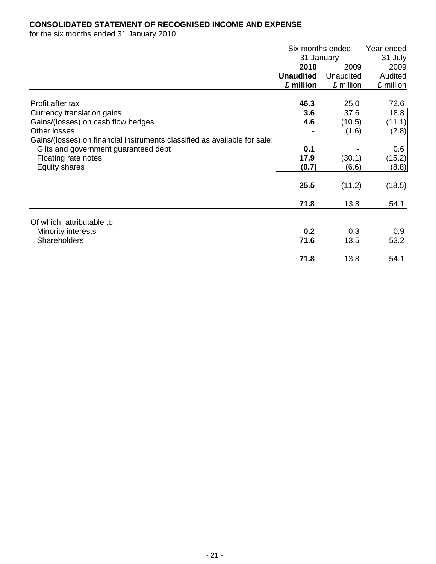# **CONSOLIDATED STATEMENT OF RECOGNISED INCOME AND EXPENSE**

for the six months ended 31 January 2010

|                                                                           | Six months ended |           | Year ended       |
|---------------------------------------------------------------------------|------------------|-----------|------------------|
|                                                                           | 31 January       |           | 31 July          |
|                                                                           | 2010             | 2009      | 2009             |
|                                                                           | <b>Unaudited</b> | Unaudited | Audited          |
|                                                                           | £ million        | £ million | £ million        |
| Profit after tax                                                          | 46.3             | 25.0      | 72.6             |
| Currency translation gains                                                | 3.6              | 37.6      | 18.8             |
| Gains/(losses) on cash flow hedges                                        | 4.6              | (10.5)    | (11.1)           |
| Other losses                                                              |                  | (1.6)     | (2.8)            |
| Gains/(losses) on financial instruments classified as available for sale: |                  |           |                  |
| Gilts and government guaranteed debt                                      | 0.1              |           | 0.6 <sub>1</sub> |
| Floating rate notes                                                       | 17.9             | (30.1)    | (15.2)           |
| Equity shares                                                             | (0.7)            | (6.6)     | (8.8)            |
|                                                                           | 25.5             | (11.2)    | (18.5)           |
|                                                                           | 71.8             | 13.8      | 54.1             |
| Of which, attributable to:                                                |                  |           |                  |
| Minority interests                                                        | 0.2              | 0.3       | 0.9              |
| <b>Shareholders</b>                                                       | 71.6             | 13.5      | 53.2             |
|                                                                           | 71.8             | 13.8      | 54.1             |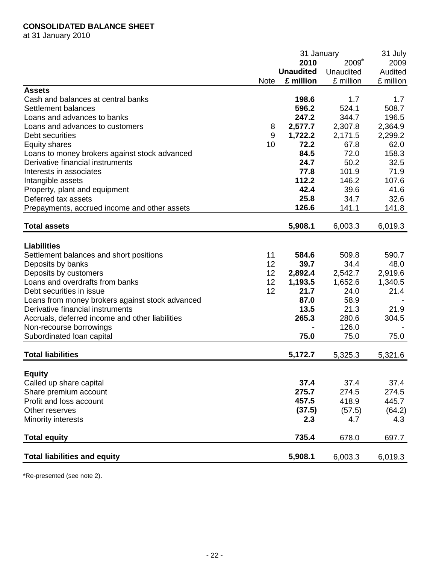# **CONSOLIDATED BALANCE SHEET**

at 31 January 2010

|                                                  |             | 31 January       |           | 31 July       |
|--------------------------------------------------|-------------|------------------|-----------|---------------|
|                                                  |             | 2010             | $2009*$   | 2009          |
|                                                  |             | <b>Unaudited</b> | Unaudited | Audited       |
|                                                  | <b>Note</b> | £ million        | £ million | £ million     |
| <b>Assets</b>                                    |             |                  |           |               |
| Cash and balances at central banks               |             | 198.6            | 1.7       | 1.7           |
| Settlement balances                              |             | 596.2            | 524.1     | 508.7         |
| Loans and advances to banks                      |             | 247.2            | 344.7     | 196.5         |
| Loans and advances to customers                  | 8           | 2,577.7          | 2,307.8   | 2,364.9       |
| Debt securities                                  | 9           | 1,722.2          | 2,171.5   | 2,299.2       |
| <b>Equity shares</b>                             | 10          | 72.2             | 67.8      | 62.0          |
| Loans to money brokers against stock advanced    |             | 84.5             | 72.0      | 158.3         |
| Derivative financial instruments                 |             | 24.7             | 50.2      | 32.5          |
| Interests in associates                          |             | 77.8             | 101.9     | 71.9          |
| Intangible assets                                |             | 112.2            | 146.2     | 107.6         |
| Property, plant and equipment                    |             | 42.4             | 39.6      | 41.6          |
| Deferred tax assets                              |             | 25.8             | 34.7      | 32.6          |
| Prepayments, accrued income and other assets     |             | 126.6            | 141.1     | 141.8         |
| <b>Total assets</b>                              |             | 5,908.1          | 6,003.3   | 6,019.3       |
| <b>Liabilities</b>                               |             |                  |           |               |
| Settlement balances and short positions          | 11          | 584.6            | 509.8     | 590.7         |
| Deposits by banks                                | 12          | 39.7             | 34.4      | 48.0          |
| Deposits by customers                            | 12          | 2,892.4          | 2,542.7   | 2,919.6       |
| Loans and overdrafts from banks                  | 12          | 1,193.5          | 1,652.6   | 1,340.5       |
| Debt securities in issue                         | 12          | 21.7             | 24.0      | 21.4          |
| Loans from money brokers against stock advanced  |             | 87.0             | 58.9      |               |
| Derivative financial instruments                 |             | 13.5             | 21.3      | 21.9          |
| Accruals, deferred income and other liabilities  |             | 265.3            | 280.6     | 304.5         |
| Non-recourse borrowings                          |             |                  | 126.0     |               |
| Subordinated loan capital                        |             | 75.0             | 75.0      | 75.0          |
| <b>Total liabilities</b>                         |             | 5,172.7          | 5,325.3   | 5,321.6       |
|                                                  |             |                  |           |               |
| <b>Equity</b>                                    |             | 37.4             | 37.4      | 37.4          |
| Called up share capital<br>Share premium account |             | 275.7            | 274.5     | 274.5         |
| Profit and loss account                          |             | 457.5            | 418.9     | 445.7         |
| Other reserves                                   |             | (37.5)           | (57.5)    |               |
| Minority interests                               |             | 2.3              | 4.7       | (64.2)<br>4.3 |
|                                                  |             |                  |           |               |
| <b>Total equity</b>                              |             | 735.4            | 678.0     | 697.7         |
| <b>Total liabilities and equity</b>              |             | 5,908.1          | 6,003.3   | 6,019.3       |

\*Re-presented (see note 2).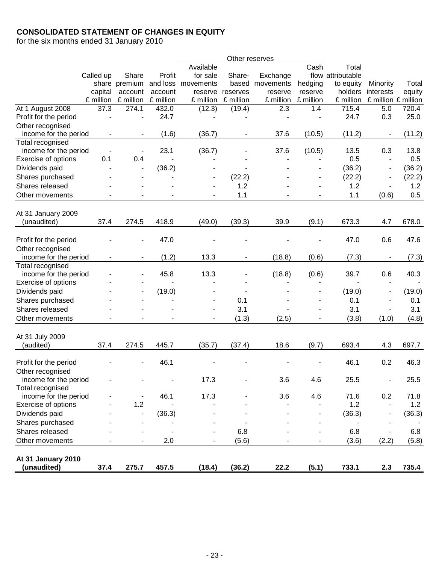# **CONSOLIDATED STATEMENT OF CHANGES IN EQUITY**

for the six months ended 31 January 2010

|                       |           |                          |           |                          | Other reserves           |           |                          |                   |                              |        |
|-----------------------|-----------|--------------------------|-----------|--------------------------|--------------------------|-----------|--------------------------|-------------------|------------------------------|--------|
|                       |           |                          |           | Available                |                          |           | Cash                     | Total             |                              |        |
|                       | Called up | Share                    | Profit    | for sale                 | Share-                   | Exchange  |                          | flow attributable |                              |        |
|                       |           | share premium            | and loss  | movements                | based                    | movements | hedging                  | to equity         | Minority                     | Total  |
|                       | capital   | account                  | account   | reserve                  | reserves                 | reserve   | reserve                  | holders           | interests                    | equity |
|                       | £ million | £ million                | £ million | £ million                | £ million                | £ million | £ million                | £ million         | £ million £ million          |        |
| At 1 August 2008      | 37.3      | 274.1                    | 432.0     | (12.3)                   | (19.4)                   | 2.3       | 1.4                      | 715.4             | 5.0                          | 720.4  |
| Profit for the period |           |                          | 24.7      |                          |                          |           |                          | 24.7              | 0.3                          | 25.0   |
| Other recognised      |           |                          |           |                          |                          |           |                          |                   |                              |        |
| income for the period |           |                          | (1.6)     | (36.7)                   |                          | 37.6      | (10.5)                   | (11.2)            |                              | (11.2) |
| Total recognised      |           |                          |           |                          |                          |           |                          |                   |                              |        |
| income for the period |           |                          | 23.1      | (36.7)                   |                          | 37.6      | (10.5)                   | 13.5              | 0.3                          | 13.8   |
| Exercise of options   | 0.1       | 0.4                      |           |                          |                          |           |                          | 0.5               | $\blacksquare$               | 0.5    |
| Dividends paid        |           |                          | (36.2)    |                          |                          |           |                          | (36.2)            | $\blacksquare$               | (36.2) |
| Shares purchased      |           |                          |           |                          | (22.2)                   |           |                          | (22.2)            | $\blacksquare$               | (22.2) |
| Shares released       |           |                          |           |                          | 1.2                      |           | $\overline{\phantom{a}}$ | 1.2               | $\overline{\phantom{a}}$     | 1.2    |
| Other movements       |           |                          |           |                          | 1.1                      |           |                          | 1.1               | (0.6)                        | 0.5    |
|                       |           |                          |           |                          |                          |           |                          |                   |                              |        |
| At 31 January 2009    |           |                          |           |                          |                          |           |                          |                   |                              |        |
| (unaudited)           | 37.4      | 274.5                    | 418.9     | (49.0)                   | (39.3)                   | 39.9      | (9.1)                    | 673.3             | 4.7                          | 678.0  |
|                       |           |                          |           |                          |                          |           |                          |                   |                              |        |
| Profit for the period |           |                          | 47.0      |                          |                          |           |                          | 47.0              | 0.6                          | 47.6   |
| Other recognised      |           |                          |           |                          |                          |           |                          |                   |                              |        |
| income for the period |           |                          | (1.2)     | 13.3                     |                          | (18.8)    | (0.6)                    | (7.3)             |                              | (7.3)  |
| Total recognised      |           |                          |           |                          |                          |           |                          |                   |                              |        |
| income for the period |           |                          | 45.8      | 13.3                     |                          | (18.8)    | (0.6)                    | 39.7              | 0.6                          | 40.3   |
| Exercise of options   |           |                          |           |                          |                          |           |                          |                   |                              |        |
| Dividends paid        |           |                          | (19.0)    |                          |                          |           |                          | (19.0)            | $\overline{\phantom{a}}$     | (19.0) |
| Shares purchased      |           |                          |           |                          | 0.1                      |           |                          | 0.1               | $\overline{a}$               | 0.1    |
| Shares released       |           |                          |           |                          | 3.1                      |           |                          | 3.1               | ÷,                           | 3.1    |
| Other movements       |           |                          |           | $\overline{\phantom{a}}$ | (1.3)                    | (2.5)     |                          | (3.8)             | (1.0)                        | (4.8)  |
|                       |           |                          |           |                          |                          |           |                          |                   |                              |        |
| At 31 July 2009       |           |                          |           |                          |                          |           |                          |                   |                              |        |
| (audited)             | 37.4      | 274.5                    | 445.7     | (35.7)                   | (37.4)                   | 18.6      | (9.7)                    | 693.4             | 4.3                          | 697.7  |
|                       |           |                          |           |                          |                          |           |                          |                   |                              |        |
| Profit for the period |           |                          | 46.1      |                          |                          |           |                          | 46.1              | 0.2                          | 46.3   |
| Other recognised      |           |                          |           |                          |                          |           |                          |                   |                              |        |
| income for the period |           | $\overline{\phantom{a}}$ |           | 17.3                     | $\overline{\phantom{m}}$ | 3.6       | 4.6                      | 25.5              | $\qquad \qquad \blacksquare$ | 25.5   |
| Total recognised      |           |                          |           |                          |                          |           |                          |                   |                              |        |
| income for the period |           |                          | 46.1      | 17.3                     |                          | 3.6       | 4.6                      | 71.6              | 0.2                          | 71.8   |
| Exercise of options   |           | 1.2                      |           |                          |                          |           |                          | 1.2               | $\blacksquare$               | 1.2    |
| Dividends paid        |           | ÷,                       | (36.3)    |                          |                          |           |                          | (36.3)            |                              | (36.3) |
| Shares purchased      |           |                          |           |                          |                          |           |                          |                   |                              |        |
| Shares released       |           |                          |           |                          | 6.8                      |           |                          | 6.8               | $\overline{\phantom{a}}$     | 6.8    |
| Other movements       |           |                          | 2.0       |                          | (5.6)                    |           |                          | (3.6)             | (2.2)                        | (5.8)  |
|                       |           |                          |           |                          |                          |           |                          |                   |                              |        |
| At 31 January 2010    |           |                          |           |                          |                          |           |                          |                   |                              |        |
| (unaudited)           | 37.4      | 275.7                    | 457.5     | (18.4)                   | (36.2)                   | 22.2      | (5.1)                    | 733.1             | 2.3                          | 735.4  |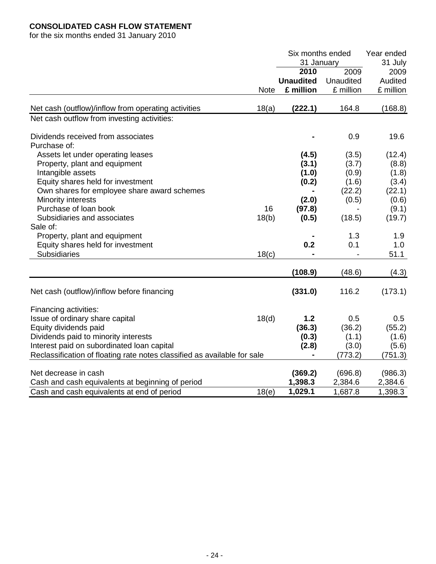# **CONSOLIDATED CASH FLOW STATEMENT**

for the six months ended 31 January 2010

|                                                                          |             |                  | Six months ended |           |  |
|--------------------------------------------------------------------------|-------------|------------------|------------------|-----------|--|
|                                                                          |             | 31 January       |                  | 31 July   |  |
|                                                                          |             | 2010             | 2009             | 2009      |  |
|                                                                          |             | <b>Unaudited</b> | Unaudited        | Audited   |  |
|                                                                          | <b>Note</b> | £ million        | £ million        | £ million |  |
|                                                                          |             |                  |                  |           |  |
| Net cash (outflow)/inflow from operating activities                      | 18(a)       | (222.1)          | 164.8            | (168.8)   |  |
| Net cash outflow from investing activities:                              |             |                  |                  |           |  |
| Dividends received from associates                                       |             |                  | 0.9              | 19.6      |  |
| Purchase of:                                                             |             |                  |                  |           |  |
| Assets let under operating leases                                        |             | (4.5)            | (3.5)            | (12.4)    |  |
| Property, plant and equipment                                            |             | (3.1)            | (3.7)            | (8.8)     |  |
| Intangible assets                                                        |             | (1.0)            | (0.9)            | (1.8)     |  |
| Equity shares held for investment                                        |             | (0.2)            | (1.6)            | (3.4)     |  |
| Own shares for employee share award schemes                              |             |                  | (22.2)           | (22.1)    |  |
| Minority interests                                                       |             | (2.0)            | (0.5)            | (0.6)     |  |
| Purchase of loan book                                                    | 16          | (97.8)           |                  | (9.1)     |  |
| Subsidiaries and associates                                              | 18(b)       | (0.5)            | (18.5)           | (19.7)    |  |
| Sale of:                                                                 |             |                  |                  |           |  |
| Property, plant and equipment                                            |             |                  | 1.3              | 1.9       |  |
| Equity shares held for investment                                        |             | 0.2              | 0.1              | 1.0       |  |
| Subsidiaries                                                             | 18(c)       |                  |                  | 51.1      |  |
|                                                                          |             | (108.9)          | (48.6)           | (4.3)     |  |
|                                                                          |             |                  |                  |           |  |
| Net cash (outflow)/inflow before financing                               |             | (331.0)          | 116.2            | (173.1)   |  |
| Financing activities:                                                    |             |                  |                  |           |  |
| Issue of ordinary share capital                                          | 18(d)       | 1.2              | 0.5              | 0.5       |  |
| Equity dividends paid                                                    |             | (36.3)           | (36.2)           | (55.2)    |  |
| Dividends paid to minority interests                                     |             | (0.3)            | (1.1)            | (1.6)     |  |
| Interest paid on subordinated loan capital                               |             | (2.8)            | (3.0)            | (5.6)     |  |
| Reclassification of floating rate notes classified as available for sale |             |                  | (773.2)          | (751.3)   |  |
| Net decrease in cash                                                     |             |                  |                  |           |  |
|                                                                          |             | (369.2)          | (696.8)          | (986.3)   |  |
| Cash and cash equivalents at beginning of period                         |             | 1,398.3          | 2,384.6          | 2,384.6   |  |
| Cash and cash equivalents at end of period                               | 18(e)       | 1,029.1          | 1,687.8          | 1,398.3   |  |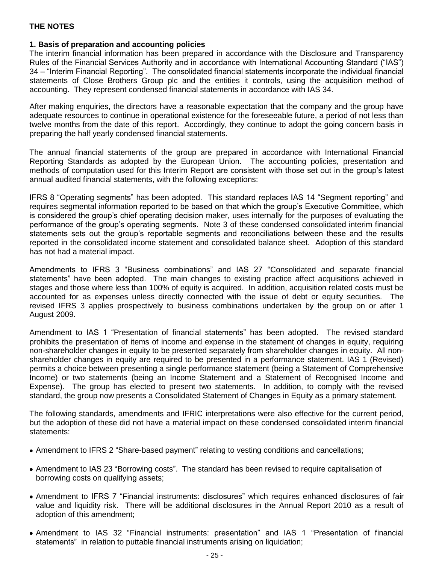### **1. Basis of preparation and accounting policies**

The interim financial information has been prepared in accordance with the Disclosure and Transparency Rules of the Financial Services Authority and in accordance with International Accounting Standard ("IAS") 34 – "Interim Financial Reporting". The consolidated financial statements incorporate the individual financial statements of Close Brothers Group plc and the entities it controls, using the acquisition method of accounting. They represent condensed financial statements in accordance with IAS 34.

After making enquiries, the directors have a reasonable expectation that the company and the group have adequate resources to continue in operational existence for the foreseeable future, a period of not less than twelve months from the date of this report. Accordingly, they continue to adopt the going concern basis in preparing the half yearly condensed financial statements.

The annual financial statements of the group are prepared in accordance with International Financial Reporting Standards as adopted by the European Union. The accounting policies, presentation and methods of computation used for this Interim Report are consistent with those set out in the group's latest annual audited financial statements, with the following exceptions:

IFRS 8 "Operating segments" has been adopted. This standard replaces IAS 14 "Segment reporting" and requires segmental information reported to be based on that which the group's Executive Committee, which is considered the group's chief operating decision maker, uses internally for the purposes of evaluating the performance of the group's operating segments. Note 3 of these condensed consolidated interim financial statements sets out the group's reportable segments and reconciliations between these and the results reported in the consolidated income statement and consolidated balance sheet. Adoption of this standard has not had a material impact.

Amendments to IFRS 3 "Business combinations" and IAS 27 "Consolidated and separate financial statements" have been adopted. The main changes to existing practice affect acquisitions achieved in stages and those where less than 100% of equity is acquired. In addition, acquisition related costs must be accounted for as expenses unless directly connected with the issue of debt or equity securities. The revised IFRS 3 applies prospectively to business combinations undertaken by the group on or after 1 August 2009.

Amendment to IAS 1 "Presentation of financial statements" has been adopted. The revised standard prohibits the presentation of items of income and expense in the statement of changes in equity, requiring non-shareholder changes in equity to be presented separately from shareholder changes in equity. All nonshareholder changes in equity are required to be presented in a performance statement. IAS 1 (Revised) permits a choice between presenting a single performance statement (being a Statement of Comprehensive Income) or two statements (being an Income Statement and a Statement of Recognised Income and Expense). The group has elected to present two statements. In addition, to comply with the revised standard, the group now presents a Consolidated Statement of Changes in Equity as a primary statement.

The following standards, amendments and IFRIC interpretations were also effective for the current period, but the adoption of these did not have a material impact on these condensed consolidated interim financial statements:

- Amendment to IFRS 2 "Share-based payment" relating to vesting conditions and cancellations;
- Amendment to IAS 23 "Borrowing costs". The standard has been revised to require capitalisation of borrowing costs on qualifying assets;
- Amendment to IFRS 7 "Financial instruments: disclosures" which requires enhanced disclosures of fair value and liquidity risk. There will be additional disclosures in the Annual Report 2010 as a result of adoption of this amendment;
- Amendment to IAS 32 "Financial instruments: presentation" and IAS 1 "Presentation of financial statements" in relation to puttable financial instruments arising on liquidation;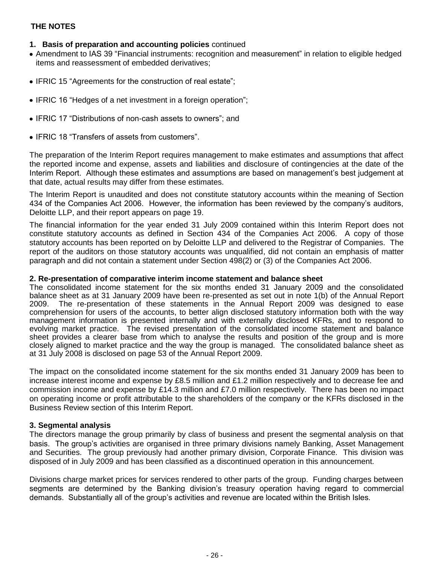- **1. Basis of preparation and accounting policies** continued
- Amendment to IAS 39 "Financial instruments: recognition and measurement" in relation to eligible hedged items and reassessment of embedded derivatives;
- IFRIC 15 "Agreements for the construction of real estate";
- IFRIC 16 "Hedges of a net investment in a foreign operation";
- IFRIC 17 "Distributions of non-cash assets to owners"; and
- IFRIC 18 "Transfers of assets from customers".

The preparation of the Interim Report requires management to make estimates and assumptions that affect the reported income and expense, assets and liabilities and disclosure of contingencies at the date of the Interim Report. Although these estimates and assumptions are based on management's best judgement at that date, actual results may differ from these estimates.

The Interim Report is unaudited and does not constitute statutory accounts within the meaning of Section 434 of the Companies Act 2006. However, the information has been reviewed by the company's auditors, Deloitte LLP, and their report appears on page 19.

The financial information for the year ended 31 July 2009 contained within this Interim Report does not constitute statutory accounts as defined in Section 434 of the Companies Act 2006. A copy of those statutory accounts has been reported on by Deloitte LLP and delivered to the Registrar of Companies. The report of the auditors on those statutory accounts was unqualified, did not contain an emphasis of matter paragraph and did not contain a statement under Section 498(2) or (3) of the Companies Act 2006.

### **2. Re-presentation of comparative interim income statement and balance sheet**

The consolidated income statement for the six months ended 31 January 2009 and the consolidated balance sheet as at 31 January 2009 have been re-presented as set out in note 1(b) of the Annual Report 2009. The re-presentation of these statements in the Annual Report 2009 was designed to ease comprehension for users of the accounts, to better align disclosed statutory information both with the way management information is presented internally and with externally disclosed KFRs, and to respond to evolving market practice. The revised presentation of the consolidated income statement and balance sheet provides a clearer base from which to analyse the results and position of the group and is more closely aligned to market practice and the way the group is managed. The consolidated balance sheet as at 31 July 2008 is disclosed on page 53 of the Annual Report 2009.

The impact on the consolidated income statement for the six months ended 31 January 2009 has been to increase interest income and expense by £8.5 million and £1.2 million respectively and to decrease fee and commission income and expense by £14.3 million and £7.0 million respectively. There has been no impact on operating income or profit attributable to the shareholders of the company or the KFRs disclosed in the Business Review section of this Interim Report.

### **3. Segmental analysis**

The directors manage the group primarily by class of business and present the segmental analysis on that basis. The group's activities are organised in three primary divisions namely Banking, Asset Management and Securities. The group previously had another primary division, Corporate Finance. This division was disposed of in July 2009 and has been classified as a discontinued operation in this announcement.

Divisions charge market prices for services rendered to other parts of the group. Funding charges between segments are determined by the Banking division's treasury operation having regard to commercial demands. Substantially all of the group's activities and revenue are located within the British Isles.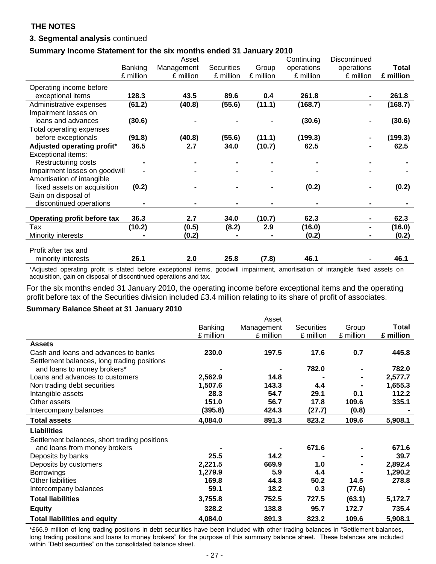### **3. Segmental analysis** continued

### **Summary Income Statement for the six months ended 31 January 2010**

|                                                                                                                                                                                                                                   |           | Asset      |                   |           | Continuing | Discontinued |              |
|-----------------------------------------------------------------------------------------------------------------------------------------------------------------------------------------------------------------------------------|-----------|------------|-------------------|-----------|------------|--------------|--------------|
|                                                                                                                                                                                                                                   | Banking   | Management | <b>Securities</b> | Group     | operations | operations   | <b>Total</b> |
|                                                                                                                                                                                                                                   | £ million | £ million  | £ million         | £ million | £ million  | £ million    | £ million    |
| Operating income before                                                                                                                                                                                                           |           |            |                   |           |            |              |              |
| exceptional items                                                                                                                                                                                                                 | 128.3     | 43.5       | 89.6              | 0.4       | 261.8      |              | 261.8        |
| Administrative expenses                                                                                                                                                                                                           | (61.2)    | (40.8)     | (55.6)            | (11.1)    | (168.7)    |              | (168.7)      |
| Impairment losses on                                                                                                                                                                                                              |           |            |                   |           |            |              |              |
| loans and advances                                                                                                                                                                                                                | (30.6)    |            |                   |           | (30.6)     |              | (30.6)       |
| Total operating expenses                                                                                                                                                                                                          |           |            |                   |           |            |              |              |
| before exceptionals                                                                                                                                                                                                               | (91.8)    | (40.8)     | (55.6)            | (11.1)    | (199.3)    |              | (199.3)      |
| Adjusted operating profit*                                                                                                                                                                                                        | 36.5      | 2.7        | 34.0              | (10.7)    | 62.5       |              | 62.5         |
| Exceptional items:                                                                                                                                                                                                                |           |            |                   |           |            |              |              |
| Restructuring costs                                                                                                                                                                                                               |           |            |                   |           |            |              |              |
| Impairment losses on goodwill                                                                                                                                                                                                     |           |            |                   |           |            |              |              |
| Amortisation of intangible                                                                                                                                                                                                        |           |            |                   |           |            |              |              |
| fixed assets on acquisition                                                                                                                                                                                                       | (0.2)     |            |                   |           | (0.2)      |              | (0.2)        |
| Gain on disposal of                                                                                                                                                                                                               |           |            |                   |           |            |              |              |
| discontinued operations                                                                                                                                                                                                           |           |            |                   |           |            |              |              |
|                                                                                                                                                                                                                                   |           |            |                   |           |            |              |              |
| <b>Operating profit before tax</b>                                                                                                                                                                                                | 36.3      | 2.7        | 34.0              | (10.7)    | 62.3       |              | 62.3         |
| Tax                                                                                                                                                                                                                               | (10.2)    | (0.5)      | (8.2)             | 2.9       | (16.0)     |              | (16.0)       |
| Minority interests                                                                                                                                                                                                                |           | (0.2)      |                   |           | (0.2)      |              | (0.2)        |
| Profit after tax and                                                                                                                                                                                                              |           |            |                   |           |            |              |              |
| minority interests                                                                                                                                                                                                                | 26.1      | 2.0        | 25.8              | (7.8)     | 46.1       |              | 46.1         |
| $\bullet$ and the contract of the contract of the contract of the contract of the contract of the contract of the contract of the contract of the contract of the contract of the contract of the contract of the contract of the |           |            |                   |           |            |              |              |

\*Adjusted operating profit is stated before exceptional items, goodwill impairment, amortisation of intangible fixed assets on acquisition, gain on disposal of discontinued operations and tax.

For the six months ended 31 January 2010, the operating income before exceptional items and the operating profit before tax of the Securities division included £3.4 million relating to its share of profit of associates.

### **Summary Balance Sheet at 31 January 2010**

|                                              |           | Asset      |                   |           |           |
|----------------------------------------------|-----------|------------|-------------------|-----------|-----------|
|                                              | Banking   | Management | <b>Securities</b> | Group     | Total     |
|                                              | £ million | £ million  | £ million         | £ million | £ million |
| <b>Assets</b>                                |           |            |                   |           |           |
| Cash and loans and advances to banks         | 230.0     | 197.5      | 17.6              | 0.7       | 445.8     |
| Settlement balances, long trading positions  |           |            |                   |           |           |
| and loans to money brokers*                  |           |            | 782.0             |           | 782.0     |
| Loans and advances to customers              | 2,562.9   | 14.8       |                   |           | 2,577.7   |
| Non trading debt securities                  | 1,507.6   | 143.3      | 4.4               |           | 1,655.3   |
| Intangible assets                            | 28.3      | 54.7       | 29.1              | 0.1       | 112.2     |
| Other assets                                 | 151.0     | 56.7       | 17.8              | 109.6     | 335.1     |
| Intercompany balances                        | (395.8)   | 424.3      | (27.7)            | (0.8)     |           |
| <b>Total assets</b>                          | 4,084.0   | 891.3      | 823.2             | 109.6     | 5,908.1   |
| <b>Liabilities</b>                           |           |            |                   |           |           |
| Settlement balances, short trading positions |           |            |                   |           |           |
| and loans from money brokers                 |           |            | 671.6             |           | 671.6     |
| Deposits by banks                            | 25.5      | 14.2       |                   |           | 39.7      |
| Deposits by customers                        | 2,221.5   | 669.9      | 1.0               |           | 2,892.4   |
| <b>Borrowings</b>                            | 1,279.9   | 5.9        | 4.4               |           | 1,290.2   |
| <b>Other liabilities</b>                     | 169.8     | 44.3       | 50.2              | 14.5      | 278.8     |
| Intercompany balances                        | 59.1      | 18.2       | 0.3               | (77.6)    |           |
| <b>Total liabilities</b>                     | 3,755.8   | 752.5      | 727.5             | (63.1)    | 5,172.7   |
| <b>Equity</b>                                | 328.2     | 138.8      | 95.7              | 172.7     | 735.4     |
| <b>Total liabilities and equity</b>          | 4,084.0   | 891.3      | 823.2             | 109.6     | 5,908.1   |

\*£66.9 million of long trading positions in debt securities have been included with other trading balances in "Settlement balances, long trading positions and loans to money brokers" for the purpose of this summary balance sheet. These balances are included within "Debt securities" on the consolidated balance sheet.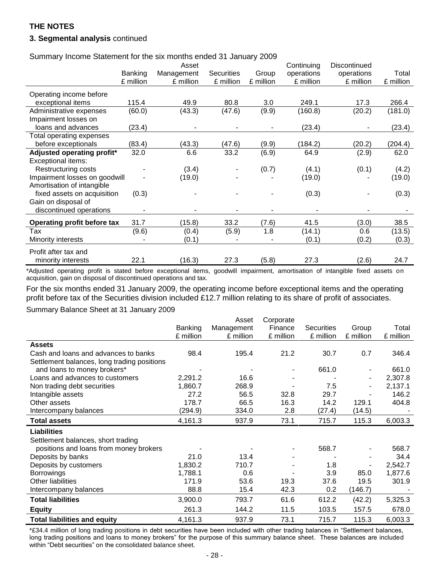### **3. Segmental analysis** continued

Summary Income Statement for the six months ended 31 January 2009

|                               |           | Asset      |                   |           | Continuing | Discontinued |           |
|-------------------------------|-----------|------------|-------------------|-----------|------------|--------------|-----------|
|                               | Banking   | Management | <b>Securities</b> | Group     | operations | operations   | Total     |
|                               | £ million | £ million  | £ million         | £ million | £ million  | £ million    | £ million |
| Operating income before       |           |            |                   |           |            |              |           |
| exceptional items             | 115.4     | 49.9       | 80.8              | 3.0       | 249.1      | 17.3         | 266.4     |
| Administrative expenses       | (60.0)    | (43.3)     | (47.6)            | (9.9)     | (160.8)    | (20.2)       | (181.0)   |
| Impairment losses on          |           |            |                   |           |            |              |           |
| loans and advances            | (23.4)    |            |                   |           | (23.4)     |              | (23.4)    |
| Total operating expenses      |           |            |                   |           |            |              |           |
| before exceptionals           | (83.4)    | (43.3)     | (47.6)            | (9.9)     | (184.2)    | (20.2)       | (204.4)   |
| Adjusted operating profit*    | 32.0      | 6.6        | 33.2              | (6.9)     | 64.9       | (2.9)        | 62.0      |
| <b>Exceptional items:</b>     |           |            |                   |           |            |              |           |
| Restructuring costs           |           | (3.4)      |                   | (0.7)     | (4.1)      | (0.1)        | (4.2)     |
| Impairment losses on goodwill |           | (19.0)     |                   |           | (19.0)     |              | (19.0)    |
| Amortisation of intangible    |           |            |                   |           |            |              |           |
| fixed assets on acquisition   | (0.3)     |            |                   |           | (0.3)      |              | (0.3)     |
| Gain on disposal of           |           |            |                   |           |            |              |           |
| discontinued operations       |           |            |                   |           |            |              |           |
| Operating profit before tax   | 31.7      | (15.8)     | 33.2              | (7.6)     | 41.5       | (3.0)        | 38.5      |
| Tax                           | (9.6)     | (0.4)      | (5.9)             | 1.8       | (14.1)     | 0.6          | (13.5)    |
| Minority interests            |           | (0.1)      |                   |           | (0.1)      | (0.2)        | (0.3)     |
| Profit after tax and          |           |            |                   |           |            |              |           |
| minority interests            | 22.1      | (16.3)     | 27.3              | (5.8)     | 27.3       | (2.6)        | 24.7      |
|                               |           |            |                   |           |            |              |           |

\*Adjusted operating profit is stated before exceptional items, goodwill impairment, amortisation of intangible fixed assets on acquisition, gain on disposal of discontinued operations and tax.

For the six months ended 31 January 2009, the operating income before exceptional items and the operating profit before tax of the Securities division included £12.7 million relating to its share of profit of associates.

Summary Balance Sheet at 31 January 2009

|                                             |                | Asset      | Corporate |                   |                |           |
|---------------------------------------------|----------------|------------|-----------|-------------------|----------------|-----------|
|                                             | <b>Banking</b> | Management | Finance   | <b>Securities</b> | Group          | Total     |
|                                             | £ million      | £ million  | £ million | £ million         | £ million      | £ million |
| <b>Assets</b>                               |                |            |           |                   |                |           |
| Cash and loans and advances to banks        | 98.4           | 195.4      | 21.2      | 30.7              | 0.7            | 346.4     |
| Settlement balances, long trading positions |                |            |           |                   |                |           |
| and loans to money brokers*                 |                |            |           | 661.0             |                | 661.0     |
| Loans and advances to customers             | 2,291.2        | 16.6       |           |                   |                | 2,307.8   |
| Non trading debt securities                 | 1,860.7        | 268.9      |           | 7.5               |                | 2,137.1   |
| Intangible assets                           | 27.2           | 56.5       | 32.8      | 29.7              |                | 146.2     |
| Other assets                                | 178.7          | 66.5       | 16.3      | 14.2              | 129.1          | 404.8     |
| Intercompany balances                       | (294.9)        | 334.0      | 2.8       | (27.4)            | (14.5)         |           |
| <b>Total assets</b>                         | 4,161.3        | 937.9      | 73.1      | 715.7             | 115.3          | 6,003.3   |
| <b>Liabilities</b>                          |                |            |           |                   |                |           |
| Settlement balances, short trading          |                |            |           |                   |                |           |
| positions and loans from money brokers      |                |            | ۰         | 568.7             |                | 568.7     |
| Deposits by banks                           | 21.0           | 13.4       |           |                   |                | 34.4      |
| Deposits by customers                       | 1,830.2        | 710.7      |           | 1.8               | $\overline{a}$ | 2,542.7   |
| <b>Borrowings</b>                           | 1,788.1        | 0.6        |           | 3.9               | 85.0           | 1,877.6   |
| <b>Other liabilities</b>                    | 171.9          | 53.6       | 19.3      | 37.6              | 19.5           | 301.9     |
| Intercompany balances                       | 88.8           | 15.4       | 42.3      | 0.2               | (146.7)        |           |
| <b>Total liabilities</b>                    | 3,900.0        | 793.7      | 61.6      | 612.2             | (42.2)         | 5,325.3   |
| <b>Equity</b>                               | 261.3          | 144.2      | 11.5      | 103.5             | 157.5          | 678.0     |
| <b>Total liabilities and equity</b>         | 4,161.3        | 937.9      | 73.1      | 715.7             | 115.3          | 6,003.3   |

\*£34.4 million of long trading positions in debt securities have been included with other trading balances in "Settlement balances, long trading positions and loans to money brokers" for the purpose of this summary balance sheet. These balances are included within "Debt securities" on the consolidated balance sheet.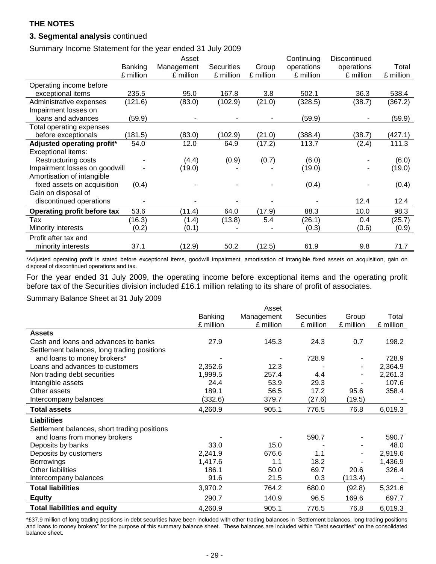### **3. Segmental analysis** continued

Summary Income Statement for the year ended 31 July 2009

|                               |                | Asset      |                   |           | Continuing | Discontinued |           |
|-------------------------------|----------------|------------|-------------------|-----------|------------|--------------|-----------|
|                               | <b>Banking</b> | Management | <b>Securities</b> | Group     | operations | operations   | Total     |
|                               | £ million      | £ million  | £ million         | £ million | £ million  | £ million    | £ million |
| Operating income before       |                |            |                   |           |            |              |           |
| exceptional items             | 235.5          | 95.0       | 167.8             | 3.8       | 502.1      | 36.3         | 538.4     |
| Administrative expenses       | (121.6)        | (83.0)     | (102.9)           | (21.0)    | (328.5)    | (38.7)       | (367.2)   |
| Impairment losses on          |                |            |                   |           |            |              |           |
| loans and advances            | (59.9)         |            |                   |           | (59.9)     |              | (59.9)    |
| Total operating expenses      |                |            |                   |           |            |              |           |
| before exceptionals           | (181.5)        | (83.0)     | (102.9)           | (21.0)    | (388.4)    | (38.7)       | (427.1)   |
| Adjusted operating profit*    | 54.0           | 12.0       | 64.9              | (17.2)    | 113.7      | (2.4)        | 111.3     |
| <b>Exceptional items:</b>     |                |            |                   |           |            |              |           |
| Restructuring costs           |                | (4.4)      | (0.9)             | (0.7)     | (6.0)      |              | (6.0)     |
| Impairment losses on goodwill |                | (19.0)     |                   |           | (19.0)     |              | (19.0)    |
| Amortisation of intangible    |                |            |                   |           |            |              |           |
| fixed assets on acquisition   | (0.4)          |            |                   |           | (0.4)      |              | (0.4)     |
| Gain on disposal of           |                |            |                   |           |            |              |           |
| discontinued operations       |                |            |                   |           |            | 12.4         | 12.4      |
| Operating profit before tax   | 53.6           | (11.4)     | 64.0              | (17.9)    | 88.3       | 10.0         | 98.3      |
| Tax                           | (16.3)         | (1.4)      | (13.8)            | 5.4       | (26.1)     | 0.4          | (25.7)    |
| Minority interests            | (0.2)          | (0.1)      |                   |           | (0.3)      | (0.6)        | (0.9)     |
| Profit after tax and          |                |            |                   |           |            |              |           |
| minority interests            | 37.1           | (12.9)     | 50.2              | (12.5)    | 61.9       | 9.8          | 71.7      |

\*Adjusted operating profit is stated before exceptional items, goodwill impairment, amortisation of intangible fixed assets on acquisition, gain on disposal of discontinued operations and tax.

For the year ended 31 July 2009, the operating income before exceptional items and the operating profit before tax of the Securities division included £16.1 million relating to its share of profit of associates.

Summary Balance Sheet at 31 July 2009

|                                              |           | Asset      |                   |           |           |
|----------------------------------------------|-----------|------------|-------------------|-----------|-----------|
|                                              | Banking   | Management | <b>Securities</b> | Group     | Total     |
|                                              | £ million | £ million  | £ million         | £ million | £ million |
| <b>Assets</b>                                |           |            |                   |           |           |
| Cash and loans and advances to banks         | 27.9      | 145.3      | 24.3              | 0.7       | 198.2     |
| Settlement balances, long trading positions  |           |            |                   |           |           |
| and loans to money brokers*                  |           |            | 728.9             |           | 728.9     |
| Loans and advances to customers              | 2,352.6   | 12.3       |                   |           | 2,364.9   |
| Non trading debt securities                  | 1,999.5   | 257.4      | 4.4               |           | 2,261.3   |
| Intangible assets                            | 24.4      | 53.9       | 29.3              |           | 107.6     |
| Other assets                                 | 189.1     | 56.5       | 17.2              | 95.6      | 358.4     |
| Intercompany balances                        | (332.6)   | 379.7      | (27.6)            | (19.5)    |           |
| <b>Total assets</b>                          | 4,260.9   | 905.1      | 776.5             | 76.8      | 6,019.3   |
| <b>Liabilities</b>                           |           |            |                   |           |           |
| Settlement balances, short trading positions |           |            |                   |           |           |
| and loans from money brokers                 |           |            | 590.7             |           | 590.7     |
| Deposits by banks                            | 33.0      | 15.0       |                   |           | 48.0      |
| Deposits by customers                        | 2,241.9   | 676.6      | 1.1               |           | 2,919.6   |
| <b>Borrowings</b>                            | 1,417.6   | 1.1        | 18.2              |           | 1,436.9   |
| Other liabilities                            | 186.1     | 50.0       | 69.7              | 20.6      | 326.4     |
| Intercompany balances                        | 91.6      | 21.5       | 0.3               | (113.4)   |           |
| <b>Total liabilities</b>                     | 3,970.2   | 764.2      | 680.0             | (92.8)    | 5,321.6   |
| <b>Equity</b>                                | 290.7     | 140.9      | 96.5              | 169.6     | 697.7     |
| <b>Total liabilities and equity</b>          | 4,260.9   | 905.1      | 776.5             | 76.8      | 6,019.3   |

\*£37.9 million of long trading positions in debt securities have been included with other trading balances in "Settlement balances, long trading positions and loans to money brokers" for the purpose of this summary balance sheet. These balances are included within "Debt securities" on the consolidated balance sheet.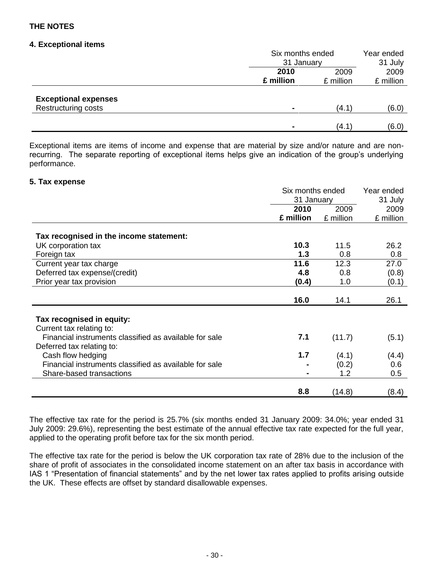### **4. Exceptional items**

|                             | Six months ended |            | Year ended |  |
|-----------------------------|------------------|------------|------------|--|
|                             |                  | 31 January |            |  |
|                             | 2010             | 2009       | 2009       |  |
|                             | £ million        | £ million  | £ million  |  |
|                             |                  |            |            |  |
| <b>Exceptional expenses</b> |                  |            |            |  |
| Restructuring costs         |                  | (4.1)      | (6.0)      |  |
|                             |                  |            |            |  |
|                             |                  | (4.1)      | (6.0)      |  |

Exceptional items are items of income and expense that are material by size and/or nature and are nonrecurring. The separate reporting of exceptional items helps give an indication of the group's underlying performance.

### **5. Tax expense**

|                                                        | Six months ended | Year ended |           |
|--------------------------------------------------------|------------------|------------|-----------|
|                                                        | 31 January       |            | 31 July   |
|                                                        | 2010             | 2009       | 2009      |
|                                                        | £ million        | £ million  | £ million |
|                                                        |                  |            |           |
| Tax recognised in the income statement:                |                  |            |           |
| UK corporation tax                                     | 10.3             | 11.5       | 26.2      |
| Foreign tax                                            | 1.3              | 0.8        | 0.8       |
| Current year tax charge                                | 11.6             | 12.3       | 27.0      |
| Deferred tax expense/(credit)                          | 4.8              | 0.8        | (0.8)     |
| Prior year tax provision                               | (0.4)            | 1.0        | (0.1)     |
|                                                        |                  |            |           |
|                                                        | 16.0             | 14.1       | 26.1      |
|                                                        |                  |            |           |
| Tax recognised in equity:                              |                  |            |           |
| Current tax relating to:                               |                  |            |           |
| Financial instruments classified as available for sale | 7.1              | (11.7)     | (5.1)     |
| Deferred tax relating to:                              |                  |            |           |
| Cash flow hedging                                      | 1.7              | (4.1)      | (4.4)     |
| Financial instruments classified as available for sale |                  | (0.2)      | 0.6       |
| Share-based transactions                               |                  | 1.2        | 0.5       |
|                                                        |                  |            |           |
|                                                        | 8.8              | (14.8)     | (8.4)     |

The effective tax rate for the period is 25.7% (six months ended 31 January 2009: 34.0%; year ended 31 July 2009: 29.6%), representing the best estimate of the annual effective tax rate expected for the full year, applied to the operating profit before tax for the six month period.

The effective tax rate for the period is below the UK corporation tax rate of 28% due to the inclusion of the share of profit of associates in the consolidated income statement on an after tax basis in accordance with IAS 1 "Presentation of financial statements" and by the net lower tax rates applied to profits arising outside the UK. These effects are offset by standard disallowable expenses.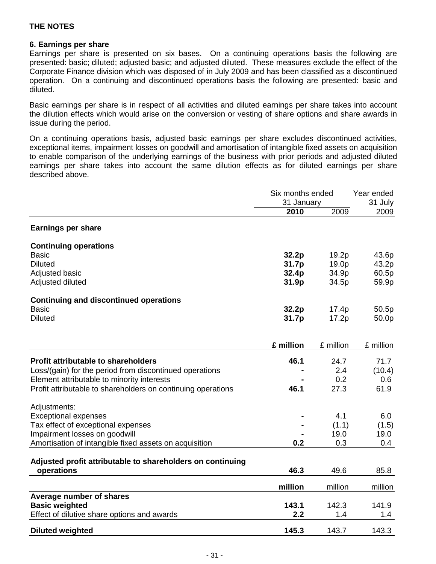### **6. Earnings per share**

Earnings per share is presented on six bases. On a continuing operations basis the following are presented: basic; diluted; adjusted basic; and adjusted diluted. These measures exclude the effect of the Corporate Finance division which was disposed of in July 2009 and has been classified as a discontinued operation. On a continuing and discontinued operations basis the following are presented: basic and diluted.

Basic earnings per share is in respect of all activities and diluted earnings per share takes into account the dilution effects which would arise on the conversion or vesting of share options and share awards in issue during the period.

On a continuing operations basis, adjusted basic earnings per share excludes discontinued activities, exceptional items, impairment losses on goodwill and amortisation of intangible fixed assets on acquisition to enable comparison of the underlying earnings of the business with prior periods and adjusted diluted earnings per share takes into account the same dilution effects as for diluted earnings per share described above.

|                                                              | Six months ended<br>31 January |           | Year ended<br>31 July |  |
|--------------------------------------------------------------|--------------------------------|-----------|-----------------------|--|
|                                                              | 2010                           | 2009      | 2009                  |  |
| <b>Earnings per share</b>                                    |                                |           |                       |  |
| <b>Continuing operations</b>                                 |                                |           |                       |  |
| <b>Basic</b>                                                 | 32.2p                          | 19.2p     | 43.6p                 |  |
| <b>Diluted</b>                                               | 31.7p                          | 19.0p     | 43.2p                 |  |
| Adjusted basic                                               | 32.4p                          | 34.9p     | 60.5p                 |  |
| Adjusted diluted                                             | 31.9p                          | 34.5p     | 59.9p                 |  |
| <b>Continuing and discontinued operations</b>                |                                |           |                       |  |
| <b>Basic</b>                                                 | 32.2p                          | 17.4p     | 50.5p                 |  |
| <b>Diluted</b>                                               | 31.7p                          | 17.2p     | 50.0p                 |  |
|                                                              | £ million                      |           |                       |  |
|                                                              |                                | £ million | £ million             |  |
| <b>Profit attributable to shareholders</b>                   | 46.1                           | 24.7      | 71.7                  |  |
| Loss/(gain) for the period from discontinued operations      |                                | 2.4       | (10.4)                |  |
| Element attributable to minority interests                   |                                | 0.2       | 0.6                   |  |
| Profit attributable to shareholders on continuing operations | 46.1                           | 27.3      | 61.9                  |  |
| Adjustments:                                                 |                                |           |                       |  |
| <b>Exceptional expenses</b>                                  |                                | 4.1       | 6.0                   |  |
| Tax effect of exceptional expenses                           |                                | (1.1)     | (1.5)                 |  |
| Impairment losses on goodwill                                |                                | 19.0      | 19.0                  |  |
| Amortisation of intangible fixed assets on acquisition       | 0.2                            | 0.3       | 0.4                   |  |
| Adjusted profit attributable to shareholders on continuing   |                                |           |                       |  |
| operations                                                   | 46.3                           | 49.6      | 85.8                  |  |
|                                                              | million                        | million   | million               |  |
| Average number of shares                                     |                                |           |                       |  |
| <b>Basic weighted</b>                                        | 143.1                          | 142.3     | 141.9                 |  |
| Effect of dilutive share options and awards                  | 2.2                            | 1.4       | 1.4                   |  |
| <b>Diluted weighted</b>                                      | 145.3                          | 143.7     | 143.3                 |  |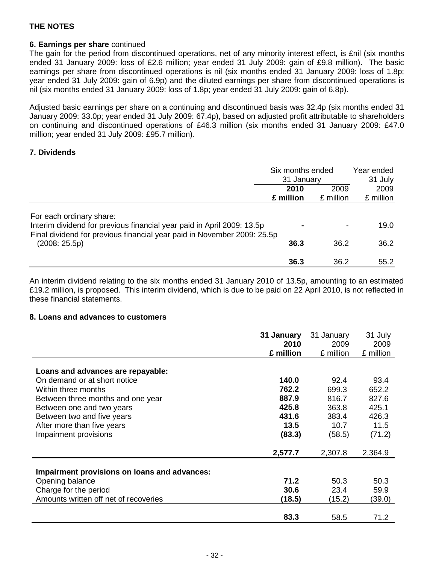### **6. Earnings per share** continued

The gain for the period from discontinued operations, net of any minority interest effect, is £nil (six months ended 31 January 2009: loss of £2.6 million; year ended 31 July 2009: gain of £9.8 million). The basic earnings per share from discontinued operations is nil (six months ended 31 January 2009: loss of 1.8p; year ended 31 July 2009: gain of 6.9p) and the diluted earnings per share from discontinued operations is nil (six months ended 31 January 2009: loss of 1.8p; year ended 31 July 2009: gain of 6.8p).

Adjusted basic earnings per share on a continuing and discontinued basis was 32.4p (six months ended 31 January 2009: 33.0p; year ended 31 July 2009: 67.4p), based on adjusted profit attributable to shareholders on continuing and discontinued operations of £46.3 million (six months ended 31 January 2009: £47.0 million; year ended 31 July 2009: £95.7 million).

### **7. Dividends**

|                                                                                                                                                                               | Six months ended<br>31 January<br>2009<br>2010 |           | Year ended<br>31 July<br>2009 |
|-------------------------------------------------------------------------------------------------------------------------------------------------------------------------------|------------------------------------------------|-----------|-------------------------------|
|                                                                                                                                                                               |                                                |           |                               |
|                                                                                                                                                                               | £ million                                      | £ million | £ million                     |
| For each ordinary share:<br>Interim dividend for previous financial year paid in April 2009: 13.5p<br>Final dividend for previous financial year paid in November 2009: 25.5p |                                                |           | 19.0                          |
| (2008:25.5p)                                                                                                                                                                  | 36.3                                           | 36.2      | 36.2                          |
|                                                                                                                                                                               | 36.3                                           | 36.2      | 55.2                          |

An interim dividend relating to the six months ended 31 January 2010 of 13.5p, amounting to an estimated £19.2 million, is proposed. This interim dividend, which is due to be paid on 22 April 2010, is not reflected in these financial statements.

### **8. Loans and advances to customers**

|                                              | 31 January<br>2010 | 31 January<br>2009 | 31 July<br>2009 |
|----------------------------------------------|--------------------|--------------------|-----------------|
|                                              | £ million          | £ million          | £ million       |
|                                              |                    |                    |                 |
| Loans and advances are repayable:            |                    |                    |                 |
| On demand or at short notice                 | 140.0              | 92.4               | 93.4            |
| Within three months                          | 762.2              | 699.3              | 652.2           |
| Between three months and one year            | 887.9              | 816.7              | 827.6           |
| Between one and two years                    | 425.8              | 363.8              | 425.1           |
| Between two and five years                   | 431.6              | 383.4              | 426.3           |
| After more than five years                   | 13.5               | 10.7               | 11.5            |
| Impairment provisions                        | (83.3)             | (58.5)             | (71.2)          |
|                                              |                    |                    |                 |
|                                              | 2,577.7            | 2,307.8            | 2,364.9         |
|                                              |                    |                    |                 |
| Impairment provisions on loans and advances: |                    |                    |                 |
| Opening balance                              | 71.2               | 50.3               | 50.3            |
| Charge for the period                        | 30.6               | 23.4               | 59.9            |
| Amounts written off net of recoveries        | (18.5)             | (15.2)             | (39.0)          |
|                                              |                    |                    |                 |
|                                              | 83.3               | 58.5               | 71.2            |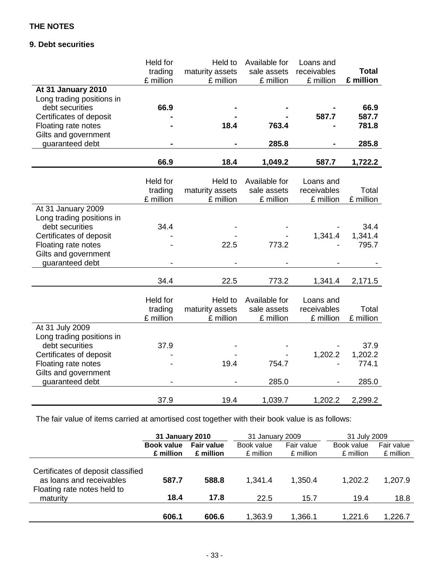# **9. Debt securities**

|                           | Held for  | Held to         | Available for | Loans and   |              |
|---------------------------|-----------|-----------------|---------------|-------------|--------------|
|                           | trading   | maturity assets | sale assets   | receivables | <b>Total</b> |
|                           | £ million | £ million       | £ million     | £ million   | £ million    |
| At 31 January 2010        |           |                 |               |             |              |
| Long trading positions in |           |                 |               |             |              |
| debt securities           | 66.9      |                 |               |             | 66.9         |
| Certificates of deposit   |           |                 |               | 587.7       | 587.7        |
| Floating rate notes       |           | 18.4            | 763.4         |             | 781.8        |
| Gilts and government      |           |                 |               |             |              |
| guaranteed debt           |           |                 | 285.8         |             | 285.8        |
|                           |           |                 |               |             |              |
|                           | 66.9      | 18.4            | 1,049.2       | 587.7       | 1,722.2      |
|                           |           |                 |               |             |              |
|                           | Held for  | Held to         | Available for | Loans and   |              |
|                           | trading   | maturity assets | sale assets   | receivables | Total        |
|                           | £ million | £ million       | £ million     | £ million   | £ million    |
| At 31 January 2009        |           |                 |               |             |              |
| Long trading positions in |           |                 |               |             |              |
| debt securities           | 34.4      |                 |               |             | 34.4         |
| Certificates of deposit   |           |                 |               | 1,341.4     | 1,341.4      |
| Floating rate notes       |           | 22.5            | 773.2         |             | 795.7        |
| Gilts and government      |           |                 |               |             |              |
| guaranteed debt           |           |                 |               |             |              |
|                           | 34.4      | 22.5            | 773.2         | 1,341.4     | 2,171.5      |
|                           |           |                 |               |             |              |
|                           | Held for  | Held to         | Available for | Loans and   |              |
|                           | trading   | maturity assets | sale assets   | receivables | Total        |
|                           | £ million | £ million       | £ million     | £ million   | £ million    |
| At 31 July 2009           |           |                 |               |             |              |
| Long trading positions in |           |                 |               |             |              |
| debt securities           | 37.9      |                 |               |             | 37.9         |
| Certificates of deposit   |           |                 |               | 1,202.2     | 1,202.2      |
| Floating rate notes       |           | 19.4            | 754.7         |             | 774.1        |
| Gilts and government      |           |                 |               |             |              |
| guaranteed debt           |           |                 | 285.0         |             | 285.0        |
|                           |           |                 |               |             |              |
|                           | 37.9      | 19.4            | 1,039.7       | 1,202.2     | 2,299.2      |

The fair value of items carried at amortised cost together with their book value is as follows:

|                                                                                                           | 31 January 2010   |                   | 31 January 2009 |                 | 31 July 2009    |                 |
|-----------------------------------------------------------------------------------------------------------|-------------------|-------------------|-----------------|-----------------|-----------------|-----------------|
|                                                                                                           | <b>Book value</b> | <b>Fair value</b> | Book value      | Fair value      | Book value      | Fair value      |
|                                                                                                           | £ million         | £ million         | £ million       | £ million       | £ million       | £ million       |
| Certificates of deposit classified<br>as loans and receivables<br>Floating rate notes held to<br>maturity | 587.7<br>18.4     | 588.8<br>17.8     | 1,341.4<br>22.5 | 1,350.4<br>15.7 | 1,202.2<br>19.4 | 1,207.9<br>18.8 |
|                                                                                                           | 606.1             | 606.6             | 1,363.9         | 1,366.1         | 1,221.6         | 1,226.7         |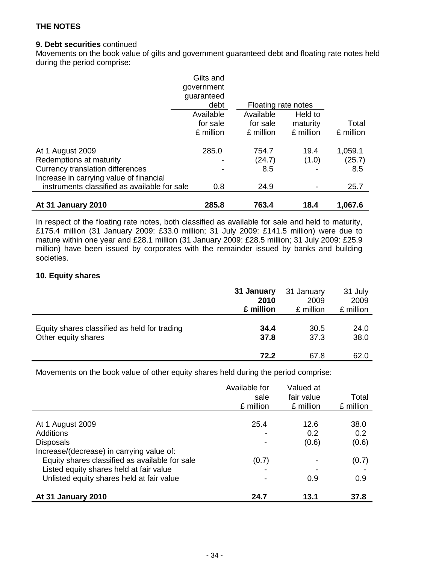### **9. Debt securities** continued

Movements on the book value of gilts and government guaranteed debt and floating rate notes held during the period comprise:

|                                                                                                                                                                            | Gilts and<br>government<br>guaranteed<br>debt | Floating rate notes            |               |                                  |
|----------------------------------------------------------------------------------------------------------------------------------------------------------------------------|-----------------------------------------------|--------------------------------|---------------|----------------------------------|
|                                                                                                                                                                            | Available                                     | Available                      | Held to       |                                  |
|                                                                                                                                                                            | for sale                                      | for sale                       | maturity      | Total                            |
|                                                                                                                                                                            | £ million                                     | £ million                      | £ million     | £ million                        |
| At 1 August 2009<br>Redemptions at maturity<br>Currency translation differences<br>Increase in carrying value of financial<br>instruments classified as available for sale | 285.0<br>0.8                                  | 754.7<br>(24.7)<br>8.5<br>24.9 | 19.4<br>(1.0) | 1,059.1<br>(25.7)<br>8.5<br>25.7 |
| At 31 January 2010                                                                                                                                                         | 285.8                                         | 763.4                          | 18.4          | 1,067.6                          |

In respect of the floating rate notes, both classified as available for sale and held to maturity, £175.4 million (31 January 2009: £33.0 million; 31 July 2009: £141.5 million) were due to mature within one year and £28.1 million (31 January 2009: £28.5 million; 31 July 2009: £25.9 million) have been issued by corporates with the remainder issued by banks and building societies.

### **10. Equity shares**

|                                              | 31 January | 31 January | 31 July   |
|----------------------------------------------|------------|------------|-----------|
|                                              | 2010       | 2009       | 2009      |
|                                              | £ million  | £ million  | £ million |
| Equity shares classified as held for trading | 34.4       | 30.5       | 24.0      |
| Other equity shares                          | 37.8       | 37.3       | 38.0      |
|                                              | 72.2       | 67.8       | 62.0      |

Movements on the book value of other equity shares held during the period comprise:

|                                                | Available for | Valued at  |           |
|------------------------------------------------|---------------|------------|-----------|
|                                                | sale          | fair value | Total     |
|                                                | £ million     | £ million  | £ million |
|                                                |               |            |           |
| At 1 August 2009                               | 25.4          | 12.6       | 38.0      |
| Additions                                      |               | 0.2        | 0.2       |
| <b>Disposals</b>                               |               | (0.6)      | (0.6)     |
| Increase/(decrease) in carrying value of:      |               |            |           |
| Equity shares classified as available for sale | (0.7)         | -          | (0.7)     |
| Listed equity shares held at fair value        |               |            |           |
| Unlisted equity shares held at fair value      |               | 0.9        | 0.9       |
|                                                |               |            |           |
| At 31 January 2010                             | 24.7          | 13.1       | 37.8      |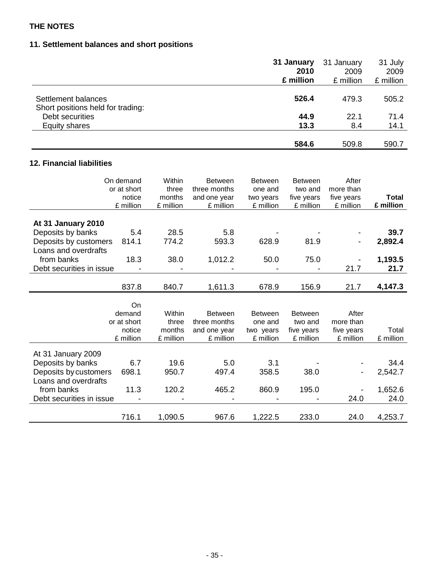# **11. Settlement balances and short positions**

|                                                          | 31 January | 31 January | 31 July   |
|----------------------------------------------------------|------------|------------|-----------|
|                                                          | 2010       | 2009       | 2009      |
|                                                          | £ million  | £ million  | £ million |
| Settlement balances<br>Short positions held for trading: | 526.4      | 479.3      | 505.2     |
| Debt securities                                          | 44.9       | 22.1       | 71.4      |
| Equity shares                                            | 13.3       | 8.4        | 14.1      |
|                                                          | 584.6      | 509.8      | 590.7     |

# **12. Financial liabilities**

| On demand                | or at short<br>notice<br>£ million | Within<br>three<br>months<br>£ million | <b>Between</b><br>three months<br>and one year<br>£ million | <b>Between</b><br>one and<br>two years<br>£ million | <b>Between</b><br>two and<br>five years<br>£ million | After<br>more than<br>five years<br>£ million | Total<br>£ million |
|--------------------------|------------------------------------|----------------------------------------|-------------------------------------------------------------|-----------------------------------------------------|------------------------------------------------------|-----------------------------------------------|--------------------|
| At 31 January 2010       |                                    |                                        |                                                             |                                                     |                                                      |                                               |                    |
| Deposits by banks        | 5.4                                | 28.5                                   | 5.8                                                         |                                                     |                                                      |                                               | 39.7               |
| Deposits by customers    | 814.1                              | 774.2                                  | 593.3                                                       | 628.9                                               | 81.9                                                 |                                               | 2,892.4            |
| Loans and overdrafts     |                                    |                                        |                                                             |                                                     |                                                      |                                               |                    |
| from banks               | 18.3                               | 38.0                                   | 1,012.2                                                     | 50.0                                                | 75.0                                                 |                                               | 1,193.5            |
| Debt securities in issue |                                    |                                        |                                                             |                                                     |                                                      | 21.7                                          | 21.7               |
|                          |                                    |                                        |                                                             |                                                     |                                                      |                                               |                    |
|                          | 837.8                              | 840.7                                  | 1,611.3                                                     | 678.9                                               | 156.9                                                | 21.7                                          | 4,147.3            |
|                          |                                    |                                        |                                                             |                                                     |                                                      |                                               |                    |
|                          | On                                 |                                        |                                                             |                                                     |                                                      |                                               |                    |
|                          | demand                             | Within                                 | <b>Between</b>                                              | <b>Between</b>                                      | <b>Between</b>                                       | After                                         |                    |
|                          | or at short                        | three                                  | three months                                                | one and                                             | two and                                              | more than                                     |                    |
|                          | notice                             | months                                 | and one year                                                | two years                                           | five years                                           | five years                                    | Total              |
|                          | £ million                          | £ million                              | £ million                                                   | £ million                                           | £ million                                            | £ million                                     | £ million          |
| At 31 January 2009       |                                    |                                        |                                                             |                                                     |                                                      |                                               |                    |
| Deposits by banks        | 6.7                                | 19.6                                   | 5.0                                                         | 3.1                                                 |                                                      |                                               | 34.4               |
| Deposits by customers    | 698.1                              | 950.7                                  | 497.4                                                       | 358.5                                               | 38.0                                                 |                                               | 2,542.7            |
| Loans and overdrafts     |                                    |                                        |                                                             |                                                     |                                                      |                                               |                    |
| from banks               | 11.3                               | 120.2                                  | 465.2                                                       | 860.9                                               | 195.0                                                |                                               | 1,652.6            |
| Debt securities in issue |                                    |                                        |                                                             |                                                     |                                                      | 24.0                                          | 24.0               |
|                          |                                    |                                        |                                                             |                                                     |                                                      |                                               |                    |
|                          | 716.1                              | 1,090.5                                | 967.6                                                       | 1,222.5                                             | 233.0                                                | 24.0                                          | 4,253.7            |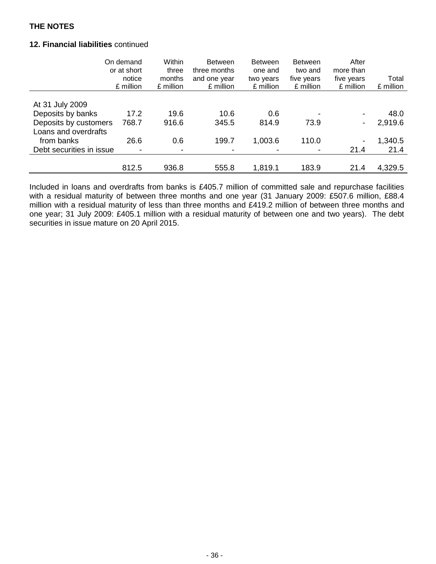### **12. Financial liabilities** continued

|                          | On demand<br>or at short<br>notice<br>£ million | Within<br>three<br>months<br>£ million | <b>Between</b><br>three months<br>and one year<br>£ million | <b>Between</b><br>one and<br>two years<br>£ million | <b>Between</b><br>two and<br>five years<br>£ million | After<br>more than<br>five years<br>£ million | Total<br>£ million |
|--------------------------|-------------------------------------------------|----------------------------------------|-------------------------------------------------------------|-----------------------------------------------------|------------------------------------------------------|-----------------------------------------------|--------------------|
|                          |                                                 |                                        |                                                             |                                                     |                                                      |                                               |                    |
| At 31 July 2009          |                                                 |                                        |                                                             |                                                     |                                                      |                                               |                    |
| Deposits by banks        | 17.2                                            | 19.6                                   | 10.6                                                        | 0.6                                                 |                                                      | -                                             | 48.0               |
| Deposits by customers    | 768.7                                           | 916.6                                  | 345.5                                                       | 814.9                                               | 73.9                                                 | Ξ.                                            | 2,919.6            |
| Loans and overdrafts     |                                                 |                                        |                                                             |                                                     |                                                      |                                               |                    |
| from banks               | 26.6                                            | 0.6                                    | 199.7                                                       | 1,003.6                                             | 110.0                                                |                                               | 1,340.5            |
| Debt securities in issue |                                                 |                                        |                                                             |                                                     |                                                      | 21.4                                          | 21.4               |
|                          |                                                 |                                        |                                                             |                                                     |                                                      |                                               |                    |
|                          | 812.5                                           | 936.8                                  | 555.8                                                       | 1,819.1                                             | 183.9                                                | 21.4                                          | 4,329.5            |

Included in loans and overdrafts from banks is £405.7 million of committed sale and repurchase facilities with a residual maturity of between three months and one year (31 January 2009: £507.6 million, £88.4 million with a residual maturity of less than three months and £419.2 million of between three months and one year; 31 July 2009: £405.1 million with a residual maturity of between one and two years). The debt securities in issue mature on 20 April 2015.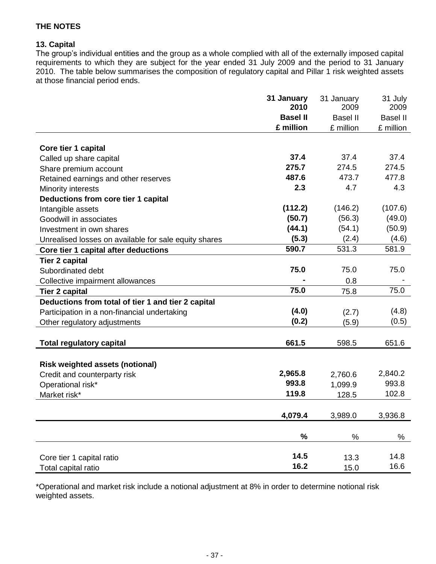### **13. Capital**

The group's individual entities and the group as a whole complied with all of the externally imposed capital requirements to which they are subject for the year ended 31 July 2009 and the period to 31 January 2010. The table below summarises the composition of regulatory capital and Pillar 1 risk weighted assets at those financial period ends.

|                                                       | 31 January<br>2010 | 31 January<br>2009 | 31 July<br>2009 |
|-------------------------------------------------------|--------------------|--------------------|-----------------|
|                                                       | <b>Basel II</b>    | <b>Basel II</b>    | <b>Basel II</b> |
|                                                       | £ million          | £ million          | £ million       |
|                                                       |                    |                    |                 |
| Core tier 1 capital                                   |                    |                    |                 |
| Called up share capital                               | 37.4               | 37.4               | 37.4            |
| Share premium account                                 | 275.7              | 274.5              | 274.5           |
| Retained earnings and other reserves                  | 487.6              | 473.7              | 477.8           |
| Minority interests                                    | 2.3                | 4.7                | 4.3             |
| Deductions from core tier 1 capital                   |                    |                    |                 |
| Intangible assets                                     | (112.2)            | (146.2)            | (107.6)         |
| Goodwill in associates                                | (50.7)             | (56.3)             | (49.0)          |
| Investment in own shares                              | (44.1)             | (54.1)             | (50.9)          |
| Unrealised losses on available for sale equity shares | (5.3)              | (2.4)              | (4.6)           |
| Core tier 1 capital after deductions                  | 590.7              | 531.3              | 581.9           |
| <b>Tier 2 capital</b>                                 |                    |                    |                 |
| Subordinated debt                                     | 75.0               | 75.0               | 75.0            |
| Collective impairment allowances                      |                    | 0.8                |                 |
| <b>Tier 2 capital</b>                                 | 75.0               | 75.8               | 75.0            |
| Deductions from total of tier 1 and tier 2 capital    |                    |                    |                 |
| Participation in a non-financial undertaking          | (4.0)              | (2.7)              | (4.8)           |
| Other regulatory adjustments                          | (0.2)              | (5.9)              | (0.5)           |
|                                                       |                    |                    |                 |
| <b>Total regulatory capital</b>                       | 661.5              | 598.5              | 651.6           |
|                                                       |                    |                    |                 |
| <b>Risk weighted assets (notional)</b>                |                    |                    |                 |
| Credit and counterparty risk                          | 2,965.8            | 2,760.6            | 2,840.2         |
| Operational risk*                                     | 993.8              | 1,099.9            | 993.8           |
| Market risk*                                          | 119.8              | 128.5              | 102.8           |
|                                                       |                    |                    |                 |
|                                                       | 4,079.4            | 3,989.0            | 3,936.8         |
|                                                       |                    |                    |                 |
|                                                       | %                  | $\%$               | $\%$            |
| Core tier 1 capital ratio                             | 14.5               | 13.3               | 14.8            |
| Total capital ratio                                   | 16.2               | 15.0               | 16.6            |
|                                                       |                    |                    |                 |

\*Operational and market risk include a notional adjustment at 8% in order to determine notional risk weighted assets.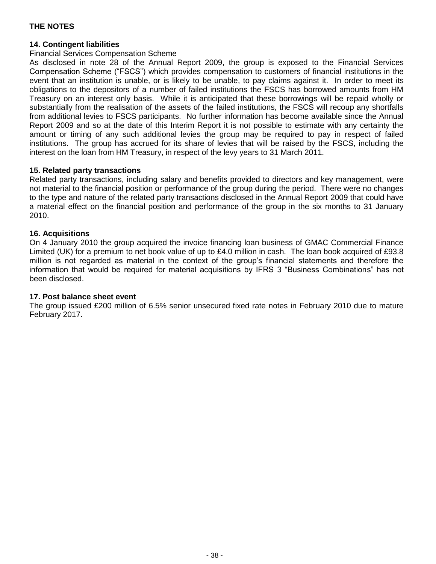### **14. Contingent liabilities**

### Financial Services Compensation Scheme

As disclosed in note 28 of the Annual Report 2009, the group is exposed to the Financial Services Compensation Scheme ("FSCS") which provides compensation to customers of financial institutions in the event that an institution is unable, or is likely to be unable, to pay claims against it. In order to meet its obligations to the depositors of a number of failed institutions the FSCS has borrowed amounts from HM Treasury on an interest only basis. While it is anticipated that these borrowings will be repaid wholly or substantially from the realisation of the assets of the failed institutions, the FSCS will recoup any shortfalls from additional levies to FSCS participants. No further information has become available since the Annual Report 2009 and so at the date of this Interim Report it is not possible to estimate with any certainty the amount or timing of any such additional levies the group may be required to pay in respect of failed institutions. The group has accrued for its share of levies that will be raised by the FSCS, including the interest on the loan from HM Treasury, in respect of the levy years to 31 March 2011.

### **15. Related party transactions**

Related party transactions, including salary and benefits provided to directors and key management, were not material to the financial position or performance of the group during the period. There were no changes to the type and nature of the related party transactions disclosed in the Annual Report 2009 that could have a material effect on the financial position and performance of the group in the six months to 31 January 2010.

### **16. Acquisitions**

On 4 January 2010 the group acquired the invoice financing loan business of GMAC Commercial Finance Limited (UK) for a premium to net book value of up to £4.0 million in cash. The loan book acquired of £93.8 million is not regarded as material in the context of the group's financial statements and therefore the information that would be required for material acquisitions by IFRS 3 "Business Combinations" has not been disclosed.

### **17. Post balance sheet event**

The group issued £200 million of 6.5% senior unsecured fixed rate notes in February 2010 due to mature February 2017.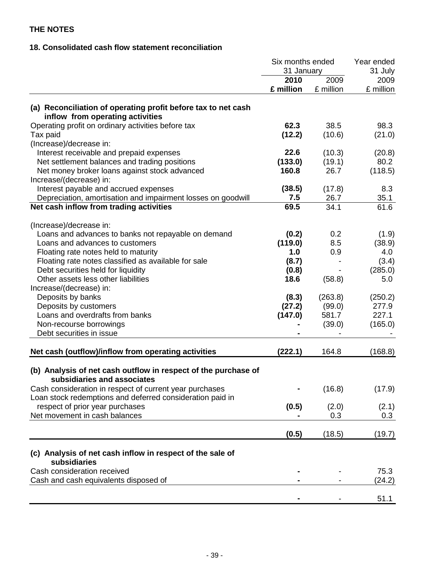# **18. Consolidated cash flow statement reconciliation**

|                                                                                                                                                                                                                                                                                                | Six months ended<br>31 January                    |                                      | Year ended<br>31 July                             |  |
|------------------------------------------------------------------------------------------------------------------------------------------------------------------------------------------------------------------------------------------------------------------------------------------------|---------------------------------------------------|--------------------------------------|---------------------------------------------------|--|
|                                                                                                                                                                                                                                                                                                | 2010<br>£ million                                 | 2009<br>£ million                    | 2009<br>£ million                                 |  |
| (a) Reconciliation of operating profit before tax to net cash<br>inflow from operating activities                                                                                                                                                                                              |                                                   |                                      |                                                   |  |
| Operating profit on ordinary activities before tax<br>Tax paid<br>(Increase)/decrease in:                                                                                                                                                                                                      | 62.3<br>(12.2)                                    | 38.5<br>(10.6)                       | 98.3<br>(21.0)                                    |  |
| Interest receivable and prepaid expenses<br>Net settlement balances and trading positions<br>Net money broker loans against stock advanced                                                                                                                                                     | 22.6<br>(133.0)<br>160.8                          | (10.3)<br>(19.1)<br>26.7             | (20.8)<br>80.2<br>(118.5)                         |  |
| Increase/(decrease) in:<br>Interest payable and accrued expenses<br>Depreciation, amortisation and impairment losses on goodwill                                                                                                                                                               | (38.5)<br>7.5                                     | (17.8)<br>26.7                       | 8.3<br>35.1                                       |  |
| Net cash inflow from trading activities                                                                                                                                                                                                                                                        | 69.5                                              | 34.1                                 | 61.6                                              |  |
| (Increase)/decrease in:<br>Loans and advances to banks not repayable on demand<br>Loans and advances to customers<br>Floating rate notes held to maturity<br>Floating rate notes classified as available for sale<br>Debt securities held for liquidity<br>Other assets less other liabilities | (0.2)<br>(119.0)<br>1.0<br>(8.7)<br>(0.8)<br>18.6 | 0.2<br>8.5<br>0.9<br>(58.8)          | (1.9)<br>(38.9)<br>4.0<br>(3.4)<br>(285.0)<br>5.0 |  |
| Increase/(decrease) in:<br>Deposits by banks<br>Deposits by customers<br>Loans and overdrafts from banks<br>Non-recourse borrowings<br>Debt securities in issue                                                                                                                                | (8.3)<br>(27.2)<br>(147.0)                        | (263.8)<br>(99.0)<br>581.7<br>(39.0) | (250.2)<br>277.9<br>227.1<br>(165.0)              |  |
| Net cash (outflow)/inflow from operating activities                                                                                                                                                                                                                                            | (222.1)                                           | 164.8                                | (168.8)                                           |  |
| (b) Analysis of net cash outflow in respect of the purchase of<br>subsidiaries and associates                                                                                                                                                                                                  |                                                   |                                      |                                                   |  |
| Cash consideration in respect of current year purchases<br>Loan stock redemptions and deferred consideration paid in                                                                                                                                                                           |                                                   | (16.8)                               | (17.9)                                            |  |
| respect of prior year purchases<br>Net movement in cash balances                                                                                                                                                                                                                               | (0.5)                                             | (2.0)<br>0.3                         | (2.1)<br>0.3                                      |  |
|                                                                                                                                                                                                                                                                                                | (0.5)                                             | (18.5)                               | (19.7)                                            |  |
| (c) Analysis of net cash inflow in respect of the sale of                                                                                                                                                                                                                                      |                                                   |                                      |                                                   |  |
| subsidiaries<br>Cash consideration received<br>Cash and cash equivalents disposed of                                                                                                                                                                                                           |                                                   |                                      | 75.3<br>(24.2)                                    |  |
|                                                                                                                                                                                                                                                                                                |                                                   |                                      | 51.1                                              |  |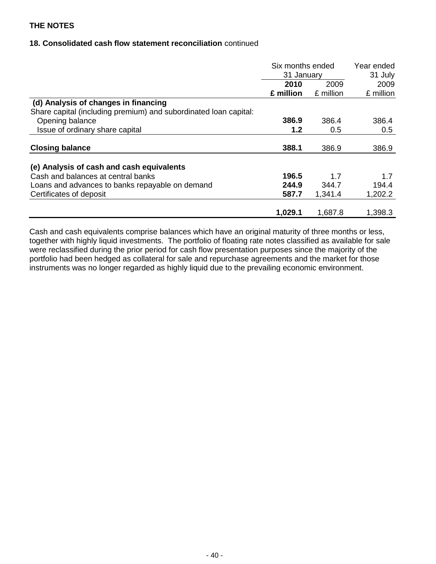### **18. Consolidated cash flow statement reconciliation** continued

|                                                                  | Six months ended<br>31 January |                   | Year ended<br>31 July |
|------------------------------------------------------------------|--------------------------------|-------------------|-----------------------|
|                                                                  | 2010<br>£ million              | 2009<br>£ million | 2009<br>£ million     |
|                                                                  |                                |                   |                       |
| Share capital (including premium) and subordinated loan capital: |                                |                   |                       |
| Opening balance                                                  | 386.9                          | 386.4             | 386.4                 |
| Issue of ordinary share capital                                  | 1.2                            | 0.5               | 0.5                   |
| <b>Closing balance</b>                                           | 388.1                          | 386.9             | 386.9                 |
| (e) Analysis of cash and cash equivalents                        |                                |                   |                       |
| Cash and balances at central banks                               | 196.5                          | 1.7               | 1.7                   |
| Loans and advances to banks repayable on demand                  | 244.9                          | 344.7             | 194.4                 |
| Certificates of deposit                                          | 587.7                          | 1,341.4           | 1,202.2               |
|                                                                  | 1,029.1                        | 1,687.8           | 1,398.3               |

Cash and cash equivalents comprise balances which have an original maturity of three months or less, together with highly liquid investments. The portfolio of floating rate notes classified as available for sale were reclassified during the prior period for cash flow presentation purposes since the majority of the portfolio had been hedged as collateral for sale and repurchase agreements and the market for those instruments was no longer regarded as highly liquid due to the prevailing economic environment.